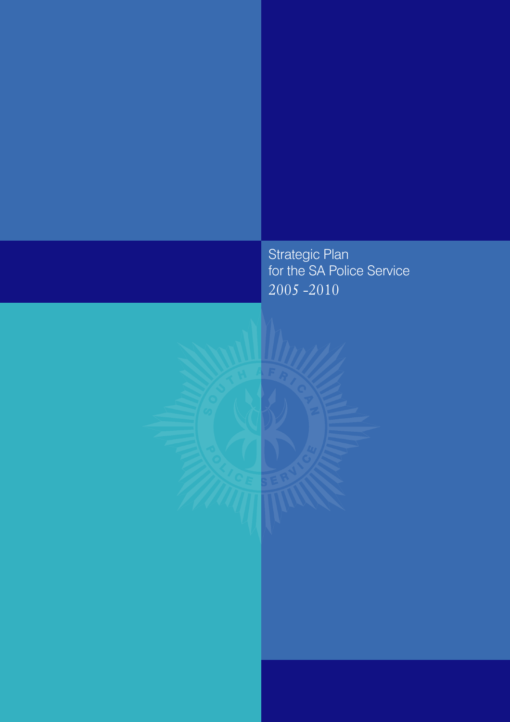Strategic Plan for the SA Police Service 2005 -2010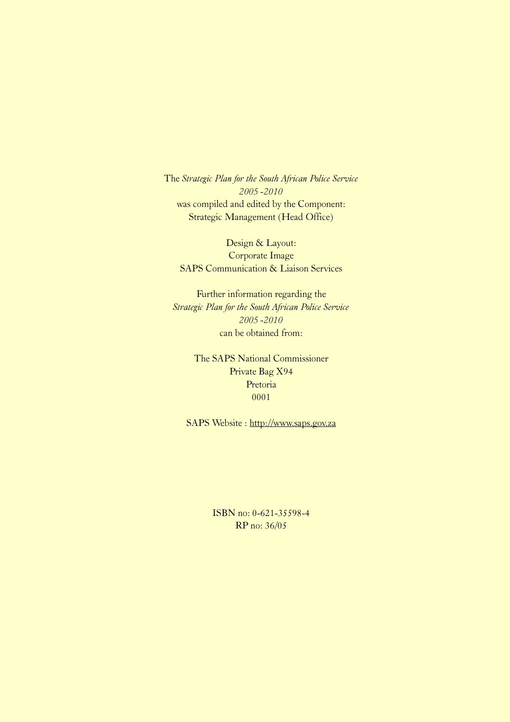The Strategic Plan for the South African Police Service 2005 -2010 was compiled and edited by the Component: Strategic Management (Head Office)

Design & Layout: Corporate Image SAPS Communication & Liaison Services

Further information regarding the Strategic Plan for the South African Police Service 2005 -2010 can be obtained from:

> The SAPS National Commissioner Private Bag X94 Pretoria 0001

SAPS Website : http://www.saps.gov.za

ISBN no: 0-621-35598-4 RP no: 36/05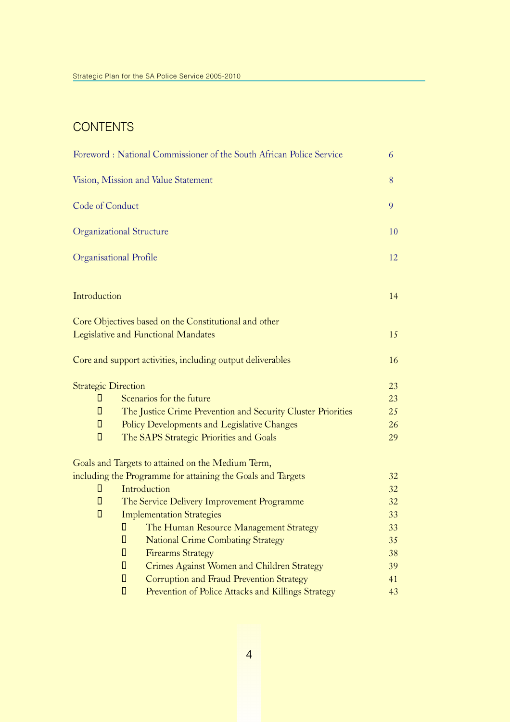### **CONTENTS**

|                            | Foreword: National Commissioner of the South African Police Service | 6  |
|----------------------------|---------------------------------------------------------------------|----|
|                            | Vision, Mission and Value Statement                                 | 8  |
| Code of Conduct            |                                                                     | 9  |
|                            | <b>Organizational Structure</b>                                     | 10 |
|                            | Organisational Profile                                              | 12 |
| Introduction               |                                                                     | 14 |
|                            | Core Objectives based on the Constitutional and other               |    |
|                            | <b>Legislative and Functional Mandates</b>                          | 15 |
|                            | Core and support activities, including output deliverables          | 16 |
| <b>Strategic Direction</b> |                                                                     | 23 |
| П                          | Scenarios for the future                                            | 23 |
| П                          | The Justice Crime Prevention and Security Cluster Priorities        | 25 |
| $\Box$                     | Policy Developments and Legislative Changes                         | 26 |
| $\Box$                     | The SAPS Strategic Priorities and Goals                             | 29 |
|                            | Goals and Targets to attained on the Medium Term,                   |    |
|                            | including the Programme for attaining the Goals and Targets         | 32 |
| П                          | Introduction                                                        | 32 |
| $\Box$                     | The Service Delivery Improvement Programme                          | 32 |
| $\Box$                     | <b>Implementation Strategies</b>                                    | 33 |
|                            | The Human Resource Management Strategy<br>П                         | 33 |
|                            | $\Box$<br><b>National Crime Combating Strategy</b>                  | 35 |
|                            | $\Box$<br><b>Firearms Strategy</b>                                  | 38 |
|                            | $\Box$<br>Crimes Against Women and Children Strategy                | 39 |
|                            | $\Box$<br>Corruption and Fraud Prevention Strategy                  | 41 |
|                            | $\Box$<br>Prevention of Police Attacks and Killings Strategy        | 43 |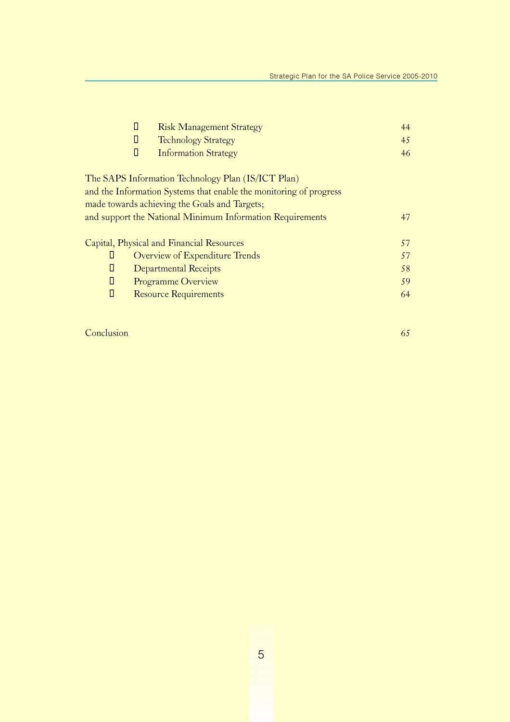| О | <b>Risk Management Strategy</b>                                    | 44 |
|---|--------------------------------------------------------------------|----|
| Ц | <b>Technology Strategy</b>                                         | 45 |
| П | <b>Information Strategy</b>                                        | 46 |
|   | The SAPS Information Technology Plan (IS/ICT Plan)                 |    |
|   | and the Information Systems that enable the monitoring of progress |    |
|   | made towards achieving the Goals and Targets;                      |    |
|   | and support the National Minimum Information Requirements          | 47 |
|   | Capital, Physical and Financial Resources                          | 57 |
| П | Overview of Expenditure Trends                                     | 57 |
| П | <b>Departmental Receipts</b>                                       | 58 |
| П | <b>Programme Overview</b>                                          | 59 |
| П | <b>Resource Requirements</b>                                       | 64 |

### **Conclusion** 65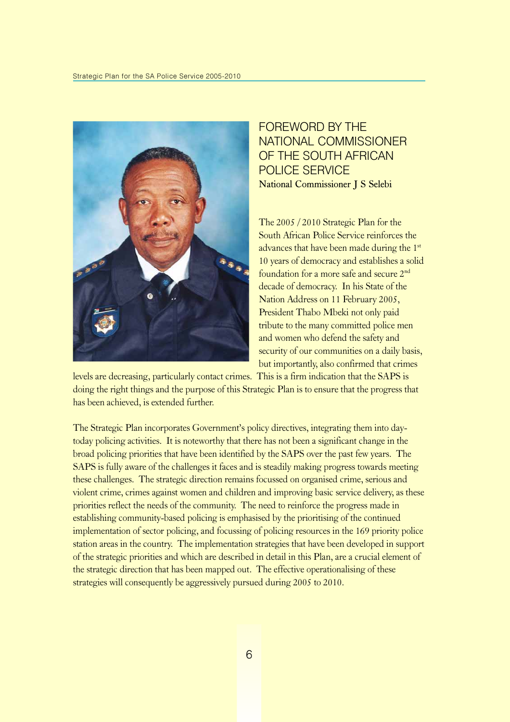

FOREWORD BY THE NATIONAL COMMISSIONER OF THE SOUTH AFRICAN POLICE SERVICE National Commissioner J S Selebi

The 2005 / 2010 Strategic Plan for the South African Police Service reinforces the advances that have been made during the 1st 10 years of democracy and establishes a solid foundation for a more safe and secure 2nd decade of democracy. In his State of the Nation Address on 11 February 2005, President Thabo Mbeki not only paid tribute to the many committed police men and women who defend the safety and security of our communities on a daily basis, but importantly, also confirmed that crimes

levels are decreasing, particularly contact crimes. This is a firm indication that the SAPS is doing the right things and the purpose of this Strategic Plan is to ensure that the progress that has been achieved, is extended further.

The Strategic Plan incorporates Government's policy directives, integrating them into daytoday policing activities. It is noteworthy that there has not been a significant change in the broad policing priorities that have been identified by the SAPS over the past few years. The SAPS is fully aware of the challenges it faces and is steadily making progress towards meeting these challenges. The strategic direction remains focussed on organised crime, serious and violent crime, crimes against women and children and improving basic service delivery, as these priorities reflect the needs of the community. The need to reinforce the progress made in establishing community-based policing is emphasised by the prioritising of the continued implementation of sector policing, and focussing of policing resources in the 169 priority police station areas in the country. The implementation strategies that have been developed in support of the strategic priorities and which are described in detail in this Plan, are a crucial element of the strategic direction that has been mapped out. The effective operationalising of these strategies will consequently be aggressively pursued during 2005 to 2010.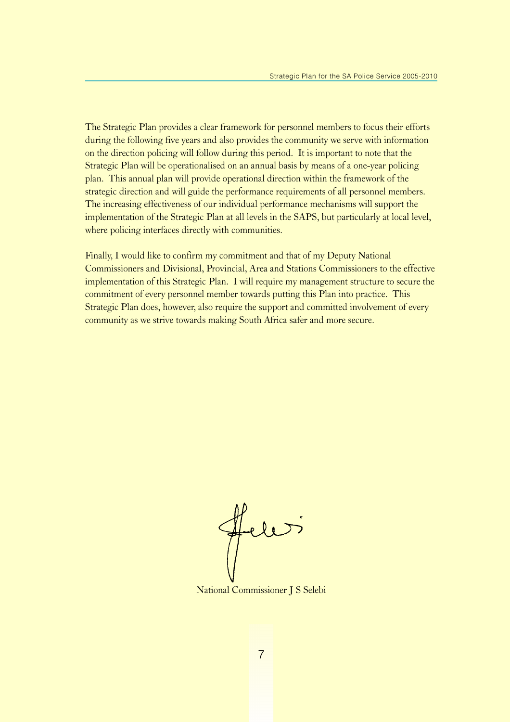The Strategic Plan provides a clear framework for personnel members to focus their efforts during the following five years and also provides the community we serve with information on the direction policing will follow during this period. It is important to note that the Strategic Plan will be operationalised on an annual basis by means of a one-year policing plan. This annual plan will provide operational direction within the framework of the strategic direction and will guide the performance requirements of all personnel members. The increasing effectiveness of our individual performance mechanisms will support the implementation of the Strategic Plan at all levels in the SAPS, but particularly at local level, where policing interfaces directly with communities.

Finally, I would like to confirm my commitment and that of my Deputy National Commissioners and Divisional, Provincial, Area and Stations Commissioners to the effective implementation of this Strategic Plan. I will require my management structure to secure the commitment of every personnel member towards putting this Plan into practice. This Strategic Plan does, however, also require the support and committed involvement of every community as we strive towards making South Africa safer and more secure.

Hele

National Commissioner J S Selebi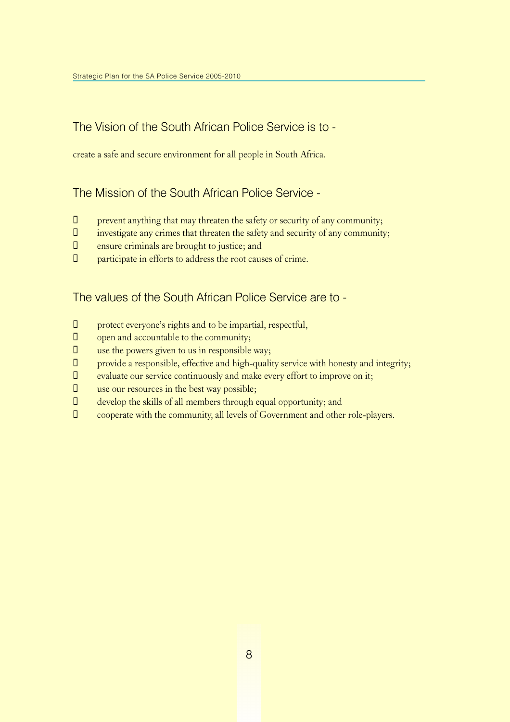### The Vision of the South African Police Service is to -

create a safe and secure environment for all people in South Africa.

### The Mission of the South African Police Service -

- $\Box$  prevent anything that may threaten the safety or security of any community;
- $\Box$  investigate any crimes that threaten the safety and security of any community;
- $\Box$  ensure criminals are brought to justice; and
- $\Box$  participate in efforts to address the root causes of crime.

### The values of the South African Police Service are to -

- $\Box$  protect everyone's rights and to be impartial, respectful,
- $\Box$  open and accountable to the community;
- $\Box$  use the powers given to us in responsible way;
- $\Box$  provide a responsible, effective and high-quality service with honesty and integrity;
- $\square$  evaluate our service continuously and make every effort to improve on it;
- $\Box$  use our resources in the best way possible;
- $\Box$  develop the skills of all members through equal opportunity; and
- ¡ cooperate with the community, all levels of Government and other role-players.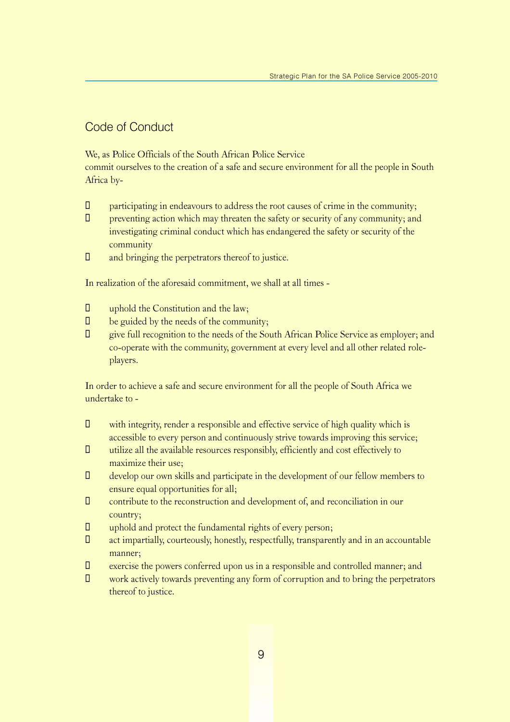### Code of Conduct

We, as Police Officials of the South African Police Service

commit ourselves to the creation of a safe and secure environment for all the people in South Africa by-

- $\Box$  participating in endeavours to address the root causes of crime in the community;
- $\Box$  preventing action which may threaten the safety or security of any community; and investigating criminal conduct which has endangered the safety or security of the community
- $\Box$  and bringing the perpetrators thereof to justice.

In realization of the aforesaid commitment, we shall at all times -

- $\Box$  uphold the Constitution and the law;
- $\Box$  be guided by the needs of the community;
- ¡ give full recognition to the needs of the South African Police Service as employer; and co-operate with the community, government at every level and all other related roleplayers.

In order to achieve a safe and secure environment for all the people of South Africa we undertake to -

- $\Box$  with integrity, render a responsible and effective service of high quality which is accessible to every person and continuously strive towards improving this service;
- $\Box$  utilize all the available resources responsibly, efficiently and cost effectively to maximize their use;
- $\Box$  develop our own skills and participate in the development of our fellow members to ensure equal opportunities for all;
- ¡ contribute to the reconstruction and development of, and reconciliation in our country;
- $\Box$  uphold and protect the fundamental rights of every person;
- ¡ act impartially, courteously, honestly, respectfully, transparently and in an accountable manner;
- $\square$  exercise the powers conferred upon us in a responsible and controlled manner; and
- $\Box$  work actively towards preventing any form of corruption and to bring the perpetrators thereof to justice.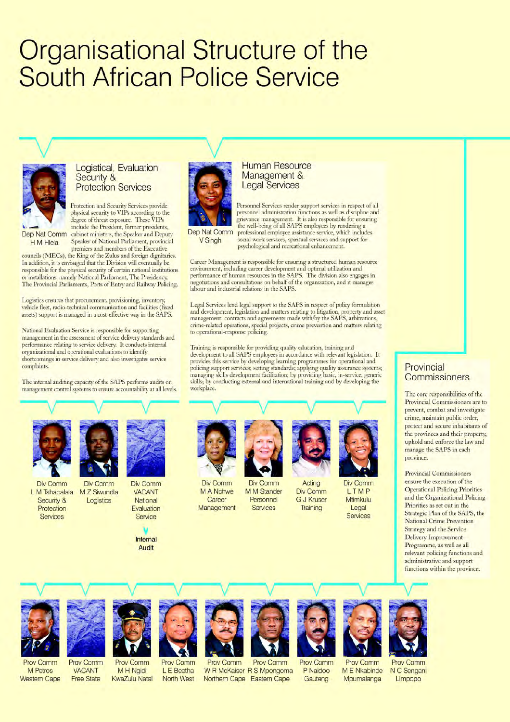# Organisational Structure of the **South African Police Service**

#### Logistical, Evaluation Security & **Protection Services**

Protection and Security Services provide physical security to VIPs according to the degree of threat exposure. These VIPs include the President, former presidents,

H M Hlela

Dep Nat Comm cabinet ministers, the Speaker and Deputy Speaker of National Parliament, provincial premiers and members of the Executive councils (MECs), the King of the Zulus and foreign dignitaries.

In addition, it is envisaged that the Division will eventually be responsible for the physical security of certain national institutions or installations, namely National Parliament, The Presidency, The Provincial Parliaments, Ports of Entry and Railway Policing.

Logistics ensures that procurement, provisioning, inventory, vehicle fleet, radio-technical communication and facilities (fixed assets) support is managed in a cost-effective way in the SAPS.

National Evaluation Service is responsible for supporting management in the assessment of service delivery standards and performance relating to service delivery. It conducts internal organizational and operational evaluations to identify shortcomings in service delivery and also investigates service **complaints** 

The internal auditing capacity of the SAPS performs audits on management control systems to ensure accountability at all levels.



Dep Nat Comm V Singh

#### **Human Resource** Management & **Legal Services**

Personnel Services render support services in respect of all<br>personnel administration functions as well as discipline and grievance management. It is also responsible for ensuring the well-being of all SAPS employees by rendering a professional employee assistance service, which includes social work services, spiritual services and support for psychological and recreational enhancement.

Career Management is responsible for ensuring a structured human resource environment, including career development and optimal utilization and performance of human resources in the SAPS. The division also engages in negotiations and consultations on behalf of the organization, and it manages labour and industrial relations in the SAPS.

Legal Services lend legal support to the SAPS in respect of policy formulation<br>and development, legislation and matters relating to litigation, property and asset management, contracts and agreements made with/by the SAPS, arbitrations, crime-related operations, special projects, crime prevention and matters relating to operational-response policing

Training is responsible for providing quality education, training and development to all SAPS employees in accordance with relevant legislation. It provides this service by developing learning programmes for operational and policing support services; setting standards; applying quality assurance systems; managing skills development facilitation; by providing basic, in-service, generic<br>skills; by conducting external and international training and by developing the workplace.



Div Comm M Tshabalala M Z Siwundla  $\mathbf{L}$ Security & Protection Services



Div Comm Div Comm **VACANT** Logistics National Fvaluation Service

> Internal Audit



M A Nchwe Career Management



Div Comm

M M Stander

Personnel

Services

Acting Div Comm **G J Kruser** Training



Div Comm LTMP **Mtimkulu** Legal Services

Provincial Commissioners

The core responsibilities of the Provincial Commissioners are to prevent, combat and investigate crime, maintain public order, protect and secure inhabitants of the provinces and their property, uphold and enforce the law and manage the SAPS in each province.

**Provincial Commissioners** ensure the execution of the **Operational Policing Priorities** and the Organizational Policing Priorities as set out in the Strategic Plan of the SAPS, the **National Crime Prevention** Strategy and the Service Delivery Improvement Programme, as well as all relevant policing functions and administrative and support functions within the province.

**Prov Comm** 

M Petros

**Western Cape** 



**Prov Comm VACANT** M H Ngidi **Free State KwaZulu Natal** 



**Prov Comm** L E Beetha North West Northern Cape Eastern Cape



**Prov Comm** W R McKaiser R S Mpongoma P Naidoo



Gauteng

M E Nkabinde

Mpumalanga



**Prov Comm** N C Sengani Limpopo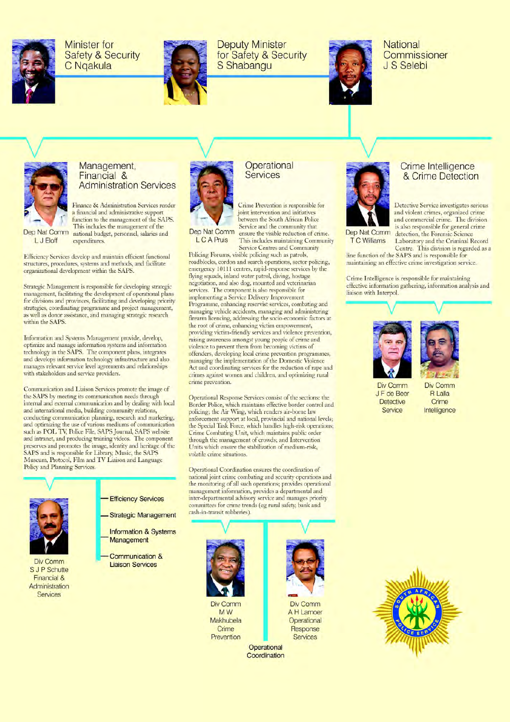

**Minister for Safety & Security** C Ngakula



**Deputy Minister** for Safety & Security S Shabangu



National Commissioner J.S. Selebi



Dep Nat Comm

L J Eloff

#### Management, Financial & **Administration Services**

Finance & Administration Services render a financial and administrative support function to the management of the SAPS. This includes the management of the national budget, personnel, salaries and expenditures

Efficiency Services develop and maintain efficient functional structures, procedures, systems and methods, and facilitate organizational development within the SAPS.

Strategic Management is responsible for developing strategic management, facilitating the development of operational plans for divisions and provinces, facilitating and developing priority strategies, coordinating programme and project management, as well as donor assistance, and managing strategic research within the SAPS.

Information and Systems Management provide, develop, optimize and manage information systems and information technology in the SAPS. The component plans, integrates and develops information technology infrastructure and also manages relevant service level agreements and relationships with stakeholders and service providers.

Communication and Liaison Services promote the image of the SAPS by meeting its communication needs through<br>internal and external communication and by dealing with local and international media, building community relations, conducting communication planning, research and marketing, and optimizing the use of various mediums of communication such as POL TV, Police File, SAPS Journal, SAPS website and intranet, and producing training videos. The component preserves and promotes the image, identity and heritage of the SAPS and is responsible for Library, Music, the SAPS Museum, Protocol, Film and TV Liaison and Language Policy and Planning Services.



Div Comm S J P Schutte Financial & Administration Services

- **Efficiency Services** 
	- **Strategic Management** 
		- **Information & Systems** Management
		- **Communication & Liaison Services**



#### Operational Services

Crime Prevention is responsible for joint intervention and initiatives between the South African Police Service and the community that ensure the visible reduction of crime. This includes maintaining Community

L C A Pruis

**Service Centres and Community** Policing Forums, visible policing such as patrols, roadblocks, cordon and search operations, sector policing, emergency 10111 centres, rapid-response services by the flying squads, inland water patrol, diving, hostage negotiation, and also dog, mounted and veterinarian services. The component is also responsible for implementing a Service Delivery Improvement Programme, enhancing reservist services, combating and managing vehicle accidents, managing and administering firearm licencing, addressing the socio-economic factors at the root of crime, enhancing victim empowerment, providing victim-friendly services and violence prevention, raising awareness amongst young people of crime and violence to prevent them from becoming victims of offenders, developing local crime prevention programmes, managing the implementation of the Domestic Violence Act and coordinating services for the reduction of rape and crimes against women and children, and optimizing rural crime prevention.

Operational Response Services consist of the sections: the Border Police, which maintains effective border control and policing; the Air Wing, which renders air-borne law enforcement support at local, provincial and national levels; the Special Task Force, which handles high-risk operations; Crime Combating Unit, which maintains public order through the management of crowds; and Intervention Units which ensure the stabilization of medium-risk. volatile crime situations.

Operational Coordination ensures the coordination of national joint crime combating and security operations and the monitoring of all such operations; provides operational management information, provides a departmental and inter-departmental advisory service and manages priority committees for crime trends (eg rural safety, bank and cash-in-transit robberies).





#### Crime Intelligence & Crime Detection

Detective Service investigates serious and violent crimes, organized crime and commercial crime. The division is also responsible for general crime detection, the Forensic Science

**T C Williams** Laboratory and the Criminal Record Centre. This division is regarded as a

line function of the SAPS and is responsible for maintaining an effective crime investigation service.

Crime Intelligence is responsible for maintaining effective information gathering, information analysis and liaison with Interpol





Div Comm J F de Beer **Detective** Service

**Div Comm R** Lalla Crime Intelligence

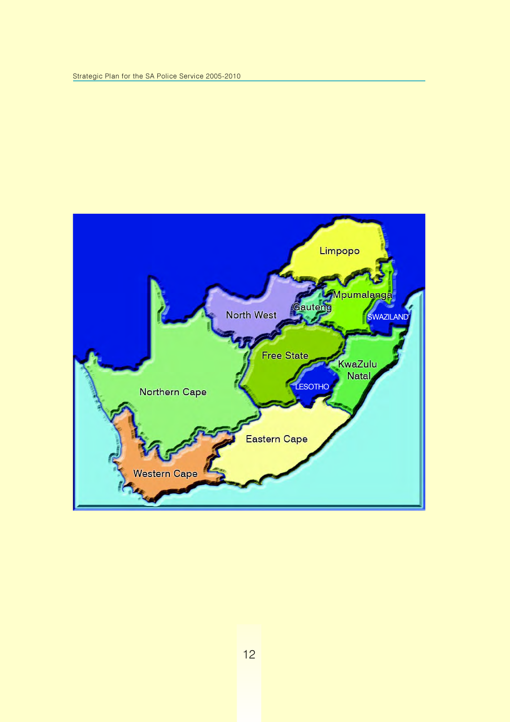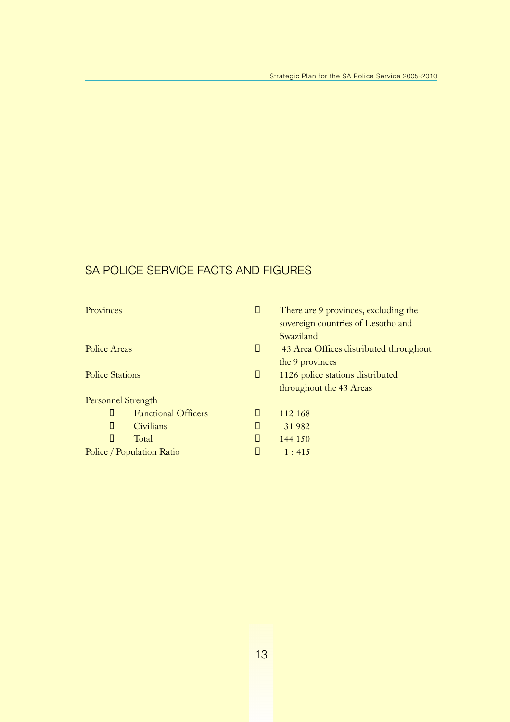## SA POLICE SERVICE FACTS AND FIGURES

| Provinces                       | Ц | There are 9 provinces, excluding the   |
|---------------------------------|---|----------------------------------------|
|                                 |   | sovereign countries of Lesotho and     |
|                                 |   | Swaziland                              |
| Police Areas                    | Ц | 43 Area Offices distributed throughout |
|                                 |   | the 9 provinces                        |
| <b>Police Stations</b>          | Ц | 1126 police stations distributed       |
|                                 |   | throughout the 43 Areas                |
| Personnel Strength              |   |                                        |
| П<br><b>Functional Officers</b> | Ш | 112 168                                |
| П<br>Civilians                  | Ц | 31982                                  |
| П<br>Total                      | H | 144 150                                |
| Police / Population Ratio       |   | 1:415                                  |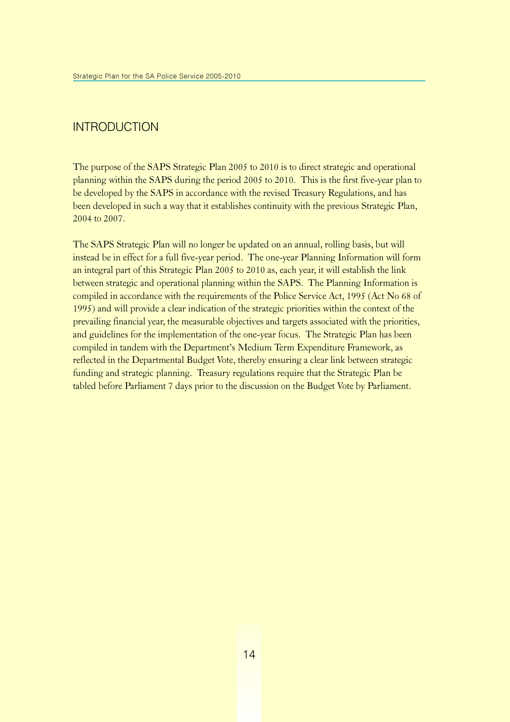### **INTRODUCTION**

The purpose of the SAPS Strategic Plan 2005 to 2010 is to direct strategic and operational planning within the SAPS during the period 2005 to 2010. This is the first five-year plan to be developed by the SAPS in accordance with the revised Treasury Regulations, and has been developed in such a way that it establishes continuity with the previous Strategic Plan, 2004 to 2007.

The SAPS Strategic Plan will no longer be updated on an annual, rolling basis, but will instead be in effect for a full five-year period. The one-year Planning Information will form an integral part of this Strategic Plan 2005 to 2010 as, each year, it will establish the link between strategic and operational planning within the SAPS. The Planning Information is compiled in accordance with the requirements of the Police Service Act, 1995 (Act No 68 of 1995) and will provide a clear indication of the strategic priorities within the context of the prevailing financial year, the measurable objectives and targets associated with the priorities, and guidelines for the implementation of the one-year focus. The Strategic Plan has been compiled in tandem with the Department's Medium Term Expenditure Framework, as reflected in the Departmental Budget Vote, thereby ensuring a clear link between strategic funding and strategic planning. Treasury regulations require that the Strategic Plan be tabled before Parliament 7 days prior to the discussion on the Budget Vote by Parliament.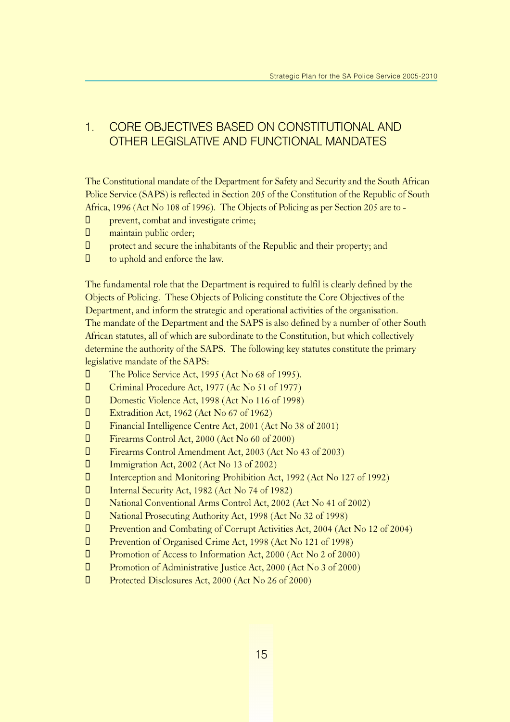### 1. CORE OBJECTIVES BASED ON CONSTITUTIONAL AND OTHER LEGISLATIVE AND FUNCTIONAL MANDATES

The Constitutional mandate of the Department for Safety and Security and the South African Police Service (SAPS) is reflected in Section 205 of the Constitution of the Republic of South Africa, 1996 (Act No 108 of 1996). The Objects of Policing as per Section 205 are to -

- $\Box$  prevent, combat and investigate crime;
- $\Box$  maintain public order;
- $\Box$  protect and secure the inhabitants of the Republic and their property; and
- $\Box$  to uphold and enforce the law.

The fundamental role that the Department is required to fulfil is clearly defined by the Objects of Policing. These Objects of Policing constitute the Core Objectives of the Department, and inform the strategic and operational activities of the organisation. The mandate of the Department and the SAPS is also defined by a number of other South African statutes, all of which are subordinate to the Constitution, but which collectively determine the authority of the SAPS. The following key statutes constitute the primary legislative mandate of the SAPS:

- **The Police Service Act, 1995 (Act No 68 of 1995).**
- **U** Criminal Procedure Act, 1977 (Ac No 51 of 1977)
- **D** Domestic Violence Act, 1998 (Act No 116 of 1998)
- $\Box$  Extradition Act, 1962 (Act No 67 of 1962)
- **U** Financial Intelligence Centre Act, 2001 (Act No 38 of 2001)
- **U** Firearms Control Act, 2000 (Act No 60 of 2000)
- ¡ Firearms Control Amendment Act, 2003 (Act No 43 of 2003)
- **Immigration Act, 2002 (Act No 13 of 2002)**
- ¡ Interception and Monitoring Prohibition Act, 1992 (Act No 127 of 1992)
- **I** Internal Security Act, 1982 (Act No 74 of 1982)
- ¡ National Conventional Arms Control Act, 2002 (Act No 41 of 2002)
- ¡ National Prosecuting Authority Act, 1998 (Act No 32 of 1998)
- ¡ Prevention and Combating of Corrupt Activities Act, 2004 (Act No 12 of 2004)
- **I** Prevention of Organised Crime Act, 1998 (Act No 121 of 1998)
- **U** Promotion of Access to Information Act, 2000 (Act No 2 of 2000)
- **T** Promotion of Administrative Justice Act, 2000 (Act No 3 of 2000)
- **U** Protected Disclosures Act, 2000 (Act No 26 of 2000)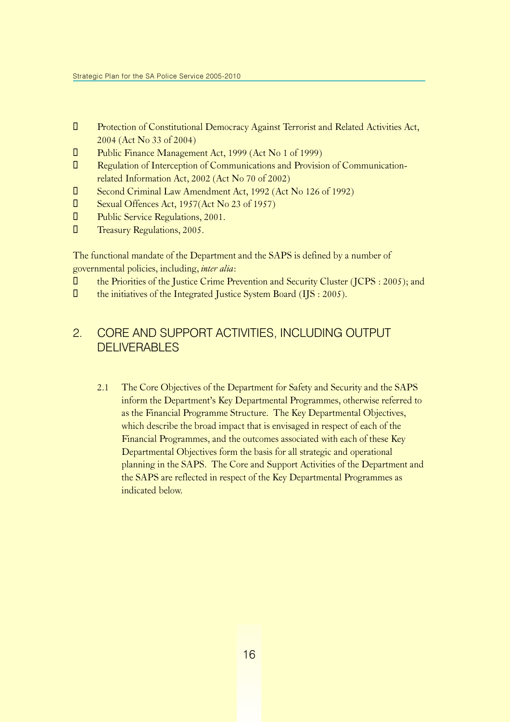- **I** Protection of Constitutional Democracy Against Terrorist and Related Activities Act, 2004 (Act No 33 of 2004)
- **U** Public Finance Management Act, 1999 (Act No 1 of 1999)
- **I** Regulation of Interception of Communications and Provision of Communicationrelated Information Act, 2002 (Act No 70 of 2002)
- **I** Second Criminal Law Amendment Act, 1992 (Act No 126 of 1992)
- **I** Sexual Offences Act, 1957(Act No 23 of 1957)
- **U** Public Service Regulations, 2001.
- **T** Treasury Regulations, 2005.

The functional mandate of the Department and the SAPS is defined by a number of governmental policies, including, inter alia:

- ¡ the Priorities of the Justice Crime Prevention and Security Cluster (JCPS : 2005); and
- $\Box$  the initiatives of the Integrated Justice System Board (IJS : 2005).

### 2. CORE AND SUPPORT ACTIVITIES, INCLUDING OUTPUT **DELIVERABLES**

2.1 The Core Objectives of the Department for Safety and Security and the SAPS inform the Department's Key Departmental Programmes, otherwise referred to as the Financial Programme Structure. The Key Departmental Objectives, which describe the broad impact that is envisaged in respect of each of the Financial Programmes, and the outcomes associated with each of these Key Departmental Objectives form the basis for all strategic and operational planning in the SAPS. The Core and Support Activities of the Department and the SAPS are reflected in respect of the Key Departmental Programmes as indicated below.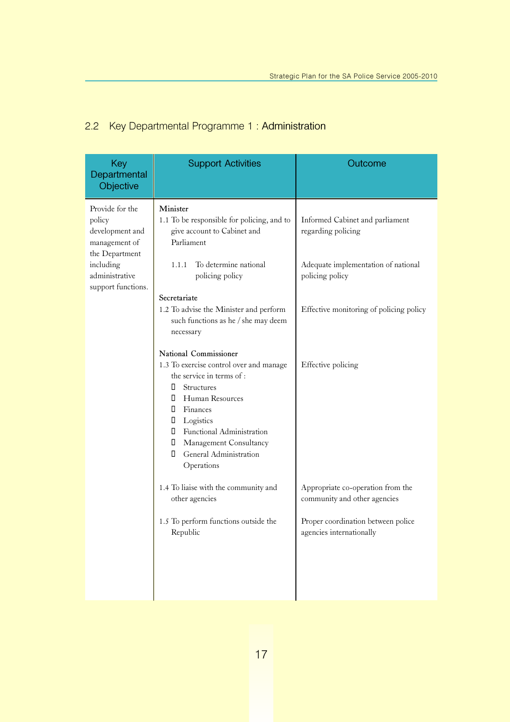### 2.2 Key Departmental Programme 1 : Administration

| Key<br>Departmental<br>Objective                                                                                                     | <b>Support Activities</b>                                                                                                                                                                                                                                                                                                                                                                                                                                                                                                                                                                                                                                             | Outcome                                                                                                                                                                                                                                               |
|--------------------------------------------------------------------------------------------------------------------------------------|-----------------------------------------------------------------------------------------------------------------------------------------------------------------------------------------------------------------------------------------------------------------------------------------------------------------------------------------------------------------------------------------------------------------------------------------------------------------------------------------------------------------------------------------------------------------------------------------------------------------------------------------------------------------------|-------------------------------------------------------------------------------------------------------------------------------------------------------------------------------------------------------------------------------------------------------|
| Provide for the<br>policy<br>development and<br>management of<br>the Department<br>including<br>administrative<br>support functions. | Minister<br>1.1 To be responsible for policing, and to<br>give account to Cabinet and<br>Parliament<br>To determine national<br>1.1.1<br>policing policy<br>Secretariate<br>1.2 To advise the Minister and perform<br>such functions as he / she may deem<br>necessary<br>National Commissioner<br>1.3 To exercise control over and manage<br>the service in terms of :<br>П<br><b>Structures</b><br><b>I</b> Human Resources<br><b>I</b> Finances<br><b>I</b> Logistics<br><b>I</b> Functional Administration<br>$\Box$<br><b>Management Consultancy</b><br>$\Box$<br>General Administration<br>Operations<br>1.4 To liaise with the community and<br>other agencies | Informed Cabinet and parliament<br>regarding policing<br>Adequate implementation of national<br>policing policy<br>Effective monitoring of policing policy<br>Effective policing<br>Appropriate co-operation from the<br>community and other agencies |
|                                                                                                                                      | 1.5 To perform functions outside the<br>Republic                                                                                                                                                                                                                                                                                                                                                                                                                                                                                                                                                                                                                      | Proper coordination between police<br>agencies internationally                                                                                                                                                                                        |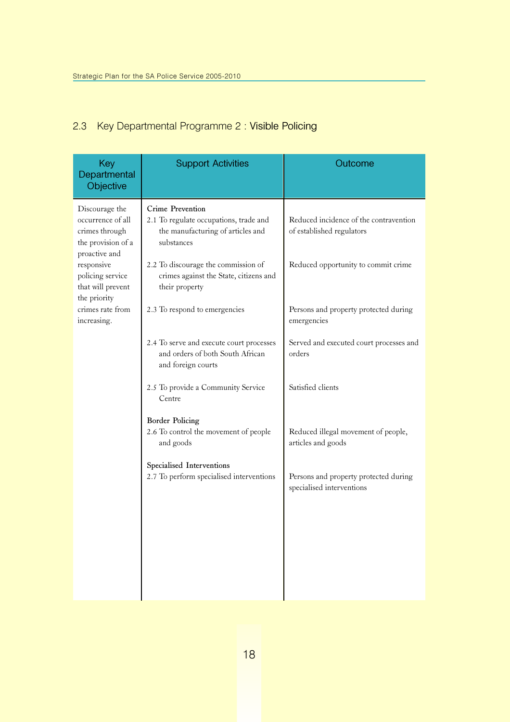### 2.3 Key Departmental Programme 2 : Visible Policing

| Key<br>Departmental<br>Objective                                                             | <b>Support Activities</b>                                                                                     | Outcome                                                             |
|----------------------------------------------------------------------------------------------|---------------------------------------------------------------------------------------------------------------|---------------------------------------------------------------------|
| Discourage the<br>occurrence of all<br>crimes through<br>the provision of a<br>proactive and | Crime Prevention<br>2.1 To regulate occupations, trade and<br>the manufacturing of articles and<br>substances | Reduced incidence of the contravention<br>of established regulators |
| responsive<br>policing service<br>that will prevent<br>the priority                          | 2.2 To discourage the commission of<br>crimes against the State, citizens and<br>their property               | Reduced opportunity to commit crime                                 |
| crimes rate from<br>increasing.                                                              | 2.3 To respond to emergencies                                                                                 | Persons and property protected during<br>emergencies                |
|                                                                                              | 2.4 To serve and execute court processes<br>and orders of both South African<br>and foreign courts            | Served and executed court processes and<br>orders                   |
|                                                                                              | 2.5 To provide a Community Service<br>Centre                                                                  | Satisfied clients                                                   |
|                                                                                              | <b>Border Policing</b><br>2.6 To control the movement of people<br>and goods                                  | Reduced illegal movement of people,<br>articles and goods           |
|                                                                                              | Specialised Interventions<br>2.7 To perform specialised interventions                                         | Persons and property protected during<br>specialised interventions  |
|                                                                                              |                                                                                                               |                                                                     |
|                                                                                              |                                                                                                               |                                                                     |
|                                                                                              |                                                                                                               |                                                                     |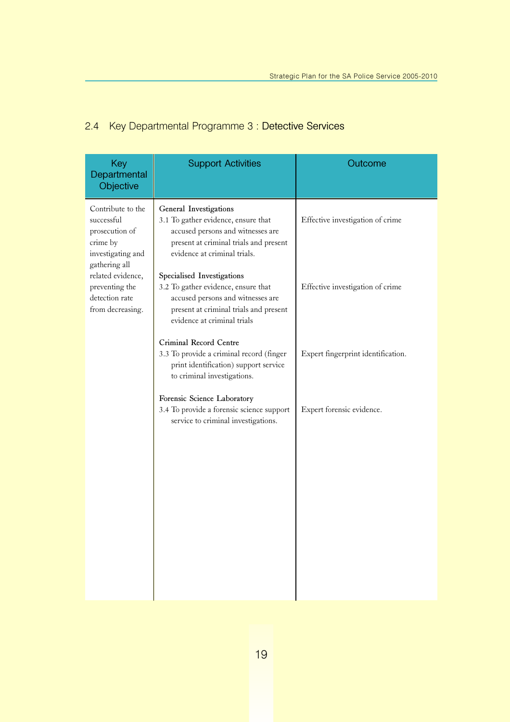### 2.4 Key Departmental Programme 3 : Detective Services

| Key<br>Departmental<br>Objective                                                                                                                                                 | <b>Support Activities</b>                                                                                                                                                                                                                                                                                                                                       | Outcome                                                              |
|----------------------------------------------------------------------------------------------------------------------------------------------------------------------------------|-----------------------------------------------------------------------------------------------------------------------------------------------------------------------------------------------------------------------------------------------------------------------------------------------------------------------------------------------------------------|----------------------------------------------------------------------|
| Contribute to the<br>successful<br>prosecution of<br>crime by<br>investigating and<br>gathering all<br>related evidence,<br>preventing the<br>detection rate<br>from decreasing. | General Investigations<br>3.1 To gather evidence, ensure that<br>accused persons and witnesses are<br>present at criminal trials and present<br>evidence at criminal trials.<br>Specialised Investigations<br>3.2 To gather evidence, ensure that<br>accused persons and witnesses are<br>present at criminal trials and present<br>evidence at criminal trials | Effective investigation of crime<br>Effective investigation of crime |
|                                                                                                                                                                                  | Criminal Record Centre<br>3.3 To provide a criminal record (finger<br>print identification) support service<br>to criminal investigations.                                                                                                                                                                                                                      | Expert fingerprint identification.                                   |
|                                                                                                                                                                                  | Forensic Science Laboratory<br>3.4 To provide a forensic science support<br>service to criminal investigations.                                                                                                                                                                                                                                                 | Expert forensic evidence.                                            |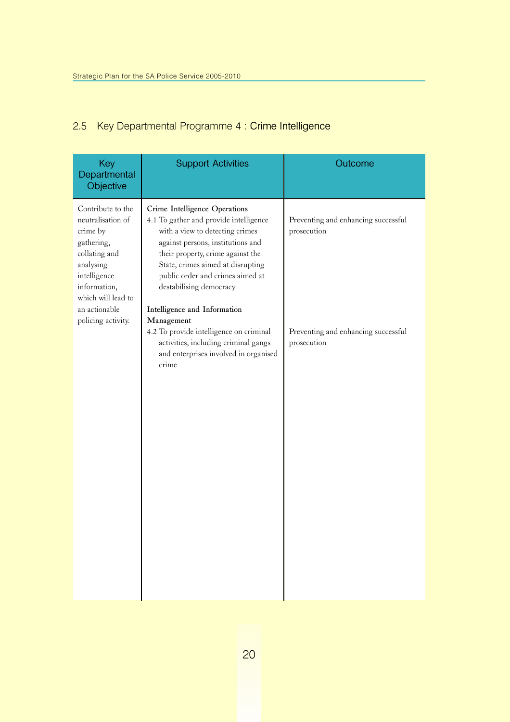### 2.5 Key Departmental Programme 4 : Crime Intelligence

| Key<br>Departmental<br>Objective                                                                                                                                      | <b>Support Activities</b>                                                                                                                                                                                                                                                                                                | Outcome                                            |
|-----------------------------------------------------------------------------------------------------------------------------------------------------------------------|--------------------------------------------------------------------------------------------------------------------------------------------------------------------------------------------------------------------------------------------------------------------------------------------------------------------------|----------------------------------------------------|
| Contribute to the<br>neutralisation of<br>crime by<br>gathering,<br>collating and<br>analysing<br>intelligence<br>information,<br>which will lead to<br>an actionable | Crime Intelligence Operations<br>4.1 To gather and provide intelligence<br>with a view to detecting crimes<br>against persons, institutions and<br>their property, crime against the<br>State, crimes aimed at disrupting<br>public order and crimes aimed at<br>destabilising democracy<br>Intelligence and Information | Preventing and enhancing successful<br>prosecution |
| policing activity.                                                                                                                                                    | Management<br>4.2 To provide intelligence on criminal<br>activities, including criminal gangs<br>and enterprises involved in organised<br>crime                                                                                                                                                                          | Preventing and enhancing successful<br>prosecution |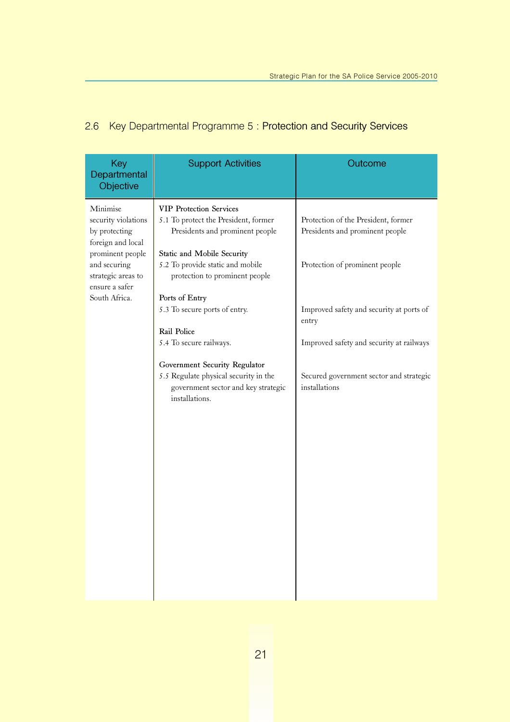### 2.6 Key Departmental Programme 5 : Protection and Security Services

| Key<br>Departmental<br>Objective                                                                                                                                   | <b>Support Activities</b>                                                                                                                                                                                                                                                                                                                                                                                                                     | Outcome                                                                                                                                                                                                                                                               |
|--------------------------------------------------------------------------------------------------------------------------------------------------------------------|-----------------------------------------------------------------------------------------------------------------------------------------------------------------------------------------------------------------------------------------------------------------------------------------------------------------------------------------------------------------------------------------------------------------------------------------------|-----------------------------------------------------------------------------------------------------------------------------------------------------------------------------------------------------------------------------------------------------------------------|
| Minimise<br>security violations<br>by protecting<br>foreign and local<br>prominent people<br>and securing<br>strategic areas to<br>ensure a safer<br>South Africa. | <b>VIP Protection Services</b><br>5.1 To protect the President, former<br>Presidents and prominent people<br>Static and Mobile Security<br>5.2 To provide static and mobile<br>protection to prominent people<br>Ports of Entry<br>5.3 To secure ports of entry.<br>Rail Police<br>5.4 To secure railways.<br>Government Security Regulator<br>5.5 Regulate physical security in the<br>government sector and key strategic<br>installations. | Protection of the President, former<br>Presidents and prominent people<br>Protection of prominent people<br>Improved safety and security at ports of<br>entry<br>Improved safety and security at railways<br>Secured government sector and strategic<br>installations |
|                                                                                                                                                                    |                                                                                                                                                                                                                                                                                                                                                                                                                                               |                                                                                                                                                                                                                                                                       |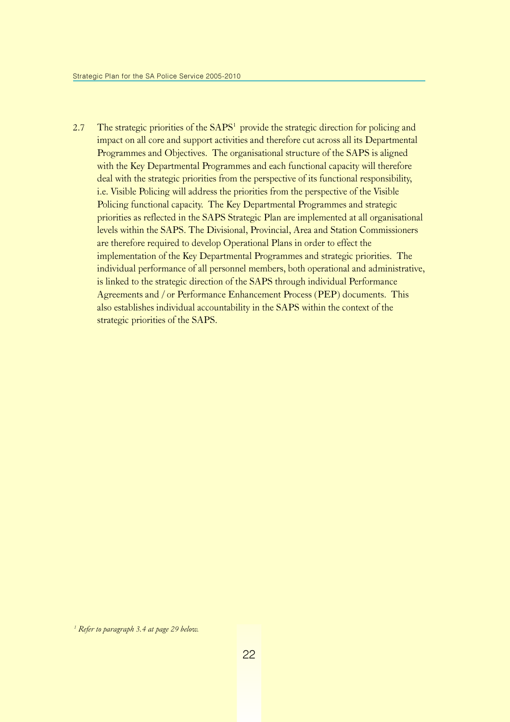2.7 The strategic priorities of the  $SAPS<sup>1</sup>$  provide the strategic direction for policing and impact on all core and support activities and therefore cut across all its Departmental Programmes and Objectives. The organisational structure of the SAPS is aligned with the Key Departmental Programmes and each functional capacity will therefore deal with the strategic priorities from the perspective of its functional responsibility, i.e. Visible Policing will address the priorities from the perspective of the Visible Policing functional capacity. The Key Departmental Programmes and strategic priorities as reflected in the SAPS Strategic Plan are implemented at all organisational levels within the SAPS. The Divisional, Provincial, Area and Station Commissioners are therefore required to develop Operational Plans in order to effect the implementation of the Key Departmental Programmes and strategic priorities. The individual performance of all personnel members, both operational and administrative, is linked to the strategic direction of the SAPS through individual Performance Agreements and / or Performance Enhancement Process (PEP) documents. This also establishes individual accountability in the SAPS within the context of the strategic priorities of the SAPS.

<sup>&</sup>lt;sup>1</sup> Refer to paragraph 3.4 at page 29 below.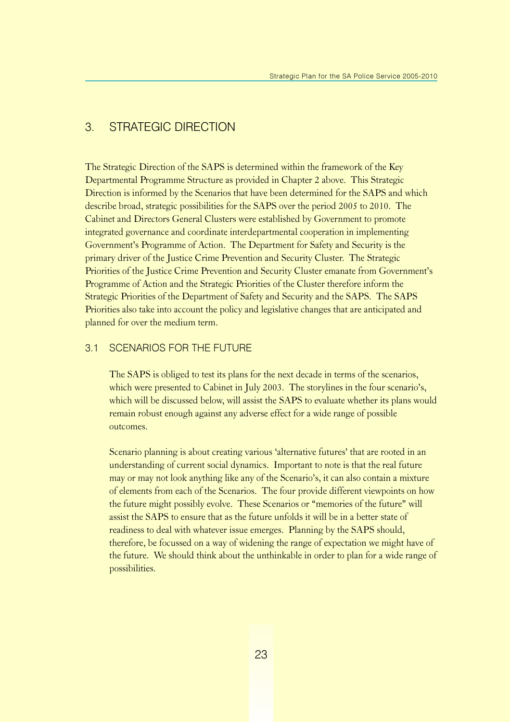### 3. STRATEGIC DIRECTION

The Strategic Direction of the SAPS is determined within the framework of the Key Departmental Programme Structure as provided in Chapter 2 above. This Strategic Direction is informed by the Scenarios that have been determined for the SAPS and which describe broad, strategic possibilities for the SAPS over the period 2005 to 2010. The Cabinet and Directors General Clusters were established by Government to promote integrated governance and coordinate interdepartmental cooperation in implementing Government's Programme of Action. The Department for Safety and Security is the primary driver of the Justice Crime Prevention and Security Cluster. The Strategic Priorities of the Justice Crime Prevention and Security Cluster emanate from Government's Programme of Action and the Strategic Priorities of the Cluster therefore inform the Strategic Priorities of the Department of Safety and Security and the SAPS. The SAPS Priorities also take into account the policy and legislative changes that are anticipated and planned for over the medium term.

#### 3.1 SCENARIOS FOR THE FUTURE

The SAPS is obliged to test its plans for the next decade in terms of the scenarios, which were presented to Cabinet in July 2003. The storylines in the four scenario's, which will be discussed below, will assist the SAPS to evaluate whether its plans would remain robust enough against any adverse effect for a wide range of possible outcomes.

Scenario planning is about creating various 'alternative futures' that are rooted in an understanding of current social dynamics. Important to note is that the real future may or may not look anything like any of the Scenario's, it can also contain a mixture of elements from each of the Scenarios. The four provide different viewpoints on how the future might possibly evolve. These Scenarios or "memories of the future" will assist the SAPS to ensure that as the future unfolds it will be in a better state of readiness to deal with whatever issue emerges. Planning by the SAPS should, therefore, be focussed on a way of widening the range of expectation we might have of the future. We should think about the unthinkable in order to plan for a wide range of possibilities.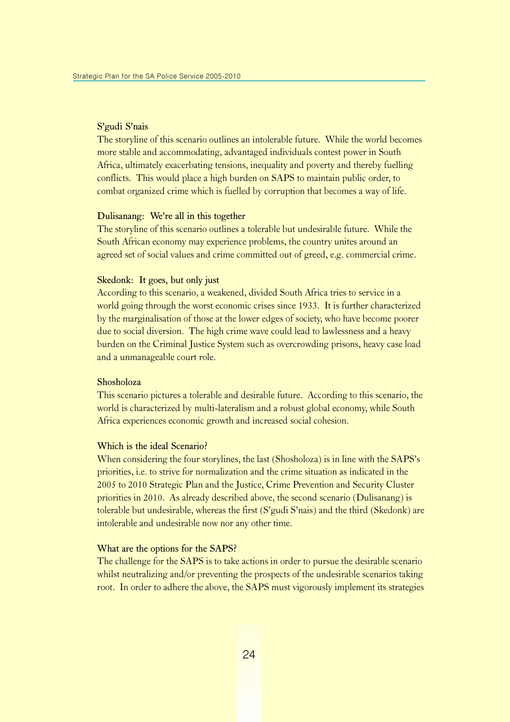#### S'gudi S'nais

The storyline of this scenario outlines an intolerable future. While the world becomes more stable and accommodating, advantaged individuals contest power in South Africa, ultimately exacerbating tensions, inequality and poverty and thereby fuelling conflicts. This would place a high burden on SAPS to maintain public order, to combat organized crime which is fuelled by corruption that becomes a way of life.

#### Dulisanang: We're all in this together

The storyline of this scenario outlines a tolerable but undesirable future. While the South African economy may experience problems, the country unites around an agreed set of social values and crime committed out of greed, e.g. commercial crime.

#### Skedonk: It goes, but only just

According to this scenario, a weakened, divided South Africa tries to service in a world going through the worst economic crises since 1933. It is further characterized by the marginalisation of those at the lower edges of society, who have become poorer due to social diversion. The high crime wave could lead to lawlessness and a heavy burden on the Criminal Justice System such as overcrowding prisons, heavy case load and a unmanageable court role.

#### Shosholoza

This scenario pictures a tolerable and desirable future. According to this scenario, the world is characterized by multi-lateralism and a robust global economy, while South Africa experiences economic growth and increased social cohesion.

#### Which is the ideal Scenario?

When considering the four storylines, the last (Shosholoza) is in line with the SAPS's priorities, i.e. to strive for normalization and the crime situation as indicated in the 2005 to 2010 Strategic Plan and the Justice, Crime Prevention and Security Cluster priorities in 2010. As already described above, the second scenario (Dulisanang) is tolerable but undesirable, whereas the first (S'gudi S'nais) and the third (Skedonk) are intolerable and undesirable now nor any other time.

#### What are the options for the SAPS?

The challenge for the SAPS is to take actions in order to pursue the desirable scenario whilst neutralizing and/or preventing the prospects of the undesirable scenarios taking root. In order to adhere the above, the SAPS must vigorously implement its strategies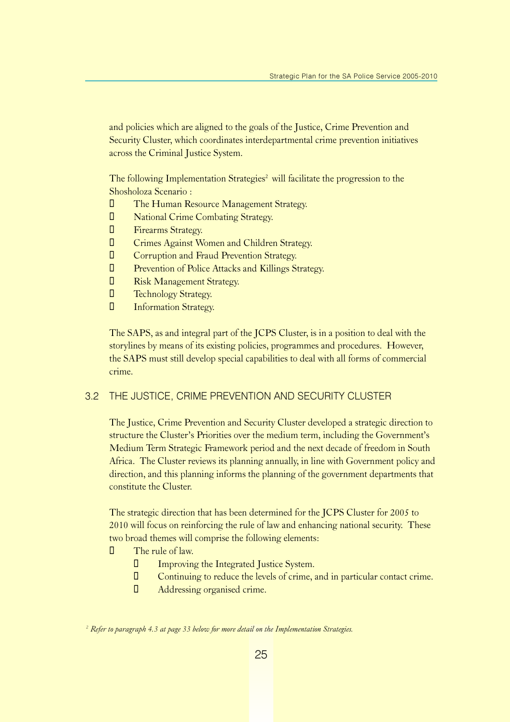and policies which are aligned to the goals of the Justice, Crime Prevention and Security Cluster, which coordinates interdepartmental crime prevention initiatives across the Criminal Justice System.

The following Implementation Strategies<sup>2</sup> will facilitate the progression to the Shosholoza Scenario :

- **The Human Resource Management Strategy.**
- **U** National Crime Combating Strategy.
- **U** Firearms Strategy.
- $\Box$  Crimes Against Women and Children Strategy.
- $\Box$  Corruption and Fraud Prevention Strategy.
- $\Box$  Prevention of Police Attacks and Killings Strategy.
- **U** Risk Management Strategy.
- **U** Technology Strategy.
- **U** Information Strategy.

The SAPS, as and integral part of the JCPS Cluster, is in a position to deal with the storylines by means of its existing policies, programmes and procedures. However, the SAPS must still develop special capabilities to deal with all forms of commercial crime.

#### 3.2 THE JUSTICE, CRIME PREVENTION AND SECURITY CLUSTER

The Justice, Crime Prevention and Security Cluster developed a strategic direction to structure the Cluster's Priorities over the medium term, including the Government's Medium Term Strategic Framework period and the next decade of freedom in South Africa. The Cluster reviews its planning annually, in line with Government policy and direction, and this planning informs the planning of the government departments that constitute the Cluster.

The strategic direction that has been determined for the JCPS Cluster for 2005 to 2010 will focus on reinforcing the rule of law and enhancing national security. These two broad themes will comprise the following elements:

- $\Box$  The rule of law.
	- Improving the Integrated Justice System.
	- Continuing to reduce the levels of crime, and in particular contact crime.
	- **D** Addressing organised crime.

 $^2$  Refer to paragraph 4.3 at page 33 below for more detail on the Implementation Strategies.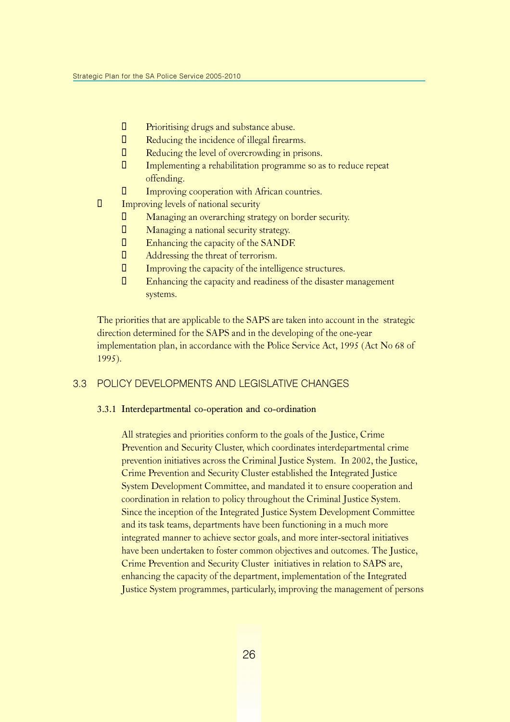- Prioritising drugs and substance abuse.
- **D** Reducing the incidence of illegal firearms.
- **D** Reducing the level of overcrowding in prisons.
- Implementing a rehabilitation programme so as to reduce repeat offending.
- Improving cooperation with African countries.
- $\Box$  Improving levels of national security
	- Managing an overarching strategy on border security.
	- **D** Managing a national security strategy.
	- **Enhancing the capacity of the SANDF.**
	- **D** Addressing the threat of terrorism.
	- Improving the capacity of the intelligence structures.
	- Enhancing the capacity and readiness of the disaster management systems.

The priorities that are applicable to the SAPS are taken into account in the strategic direction determined for the SAPS and in the developing of the one-year implementation plan, in accordance with the Police Service Act, 1995 (Act No 68 of 1995).

#### 3.3 POLICY DEVELOPMENTS AND LEGISLATIVE CHANGES

#### 3.3.1 Interdepartmental co-operation and co-ordination

All strategies and priorities conform to the goals of the Justice, Crime Prevention and Security Cluster, which coordinates interdepartmental crime prevention initiatives across the Criminal Justice System. In 2002, the Justice, Crime Prevention and Security Cluster established the Integrated Justice System Development Committee, and mandated it to ensure cooperation and coordination in relation to policy throughout the Criminal Justice System. Since the inception of the Integrated Justice System Development Committee and its task teams, departments have been functioning in a much more integrated manner to achieve sector goals, and more inter-sectoral initiatives have been undertaken to foster common objectives and outcomes. The Justice, Crime Prevention and Security Cluster initiatives in relation to SAPS are, enhancing the capacity of the department, implementation of the Integrated Justice System programmes, particularly, improving the management of persons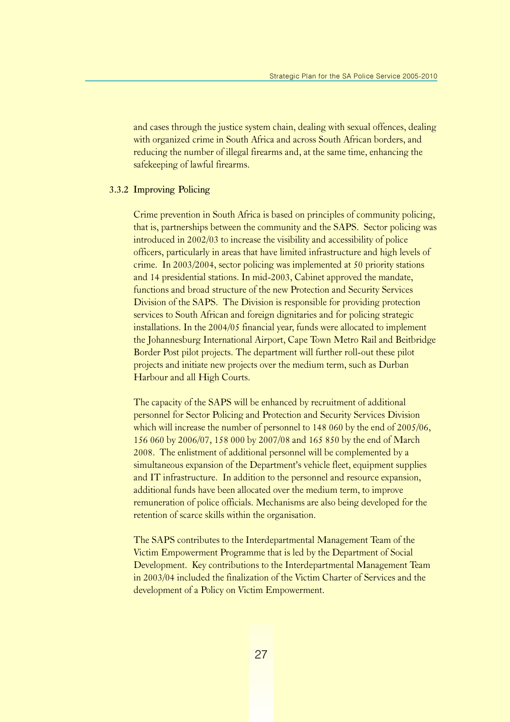and cases through the justice system chain, dealing with sexual offences, dealing with organized crime in South Africa and across South African borders, and reducing the number of illegal firearms and, at the same time, enhancing the safekeeping of lawful firearms.

#### 3.3.2 Improving Policing

Crime prevention in South Africa is based on principles of community policing, that is, partnerships between the community and the SAPS. Sector policing was introduced in 2002/03 to increase the visibility and accessibility of police officers, particularly in areas that have limited infrastructure and high levels of crime. In 2003/2004, sector policing was implemented at 50 priority stations and 14 presidential stations. In mid-2003, Cabinet approved the mandate, functions and broad structure of the new Protection and Security Services Division of the SAPS. The Division is responsible for providing protection services to South African and foreign dignitaries and for policing strategic installations. In the 2004/05 financial year, funds were allocated to implement the Johannesburg International Airport, Cape Town Metro Rail and Beitbridge Border Post pilot projects. The department will further roll-out these pilot projects and initiate new projects over the medium term, such as Durban Harbour and all High Courts.

The capacity of the SAPS will be enhanced by recruitment of additional personnel for Sector Policing and Protection and Security Services Division which will increase the number of personnel to 148 060 by the end of 2005/06, 156 060 by 2006/07, 158 000 by 2007/08 and 165 850 by the end of March 2008. The enlistment of additional personnel will be complemented by a simultaneous expansion of the Department's vehicle fleet, equipment supplies and IT infrastructure. In addition to the personnel and resource expansion, additional funds have been allocated over the medium term, to improve remuneration of police officials. Mechanisms are also being developed for the retention of scarce skills within the organisation.

The SAPS contributes to the Interdepartmental Management Team of the Victim Empowerment Programme that is led by the Department of Social Development. Key contributions to the Interdepartmental Management Team in 2003/04 included the finalization of the Victim Charter of Services and the development of a Policy on Victim Empowerment.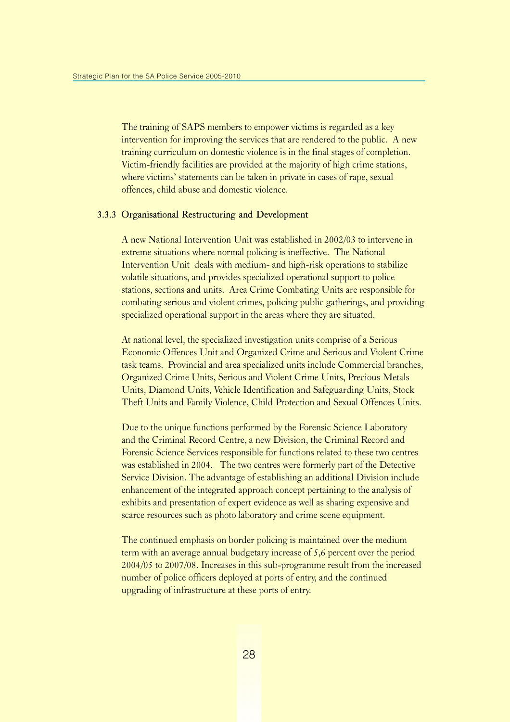The training of SAPS members to empower victims is regarded as a key intervention for improving the services that are rendered to the public. A new training curriculum on domestic violence is in the final stages of completion. Victim-friendly facilities are provided at the majority of high crime stations, where victims' statements can be taken in private in cases of rape, sexual offences, child abuse and domestic violence.

#### 3.3.3 Organisational Restructuring and Development

A new National Intervention Unit was established in 2002/03 to intervene in extreme situations where normal policing is ineffective. The National Intervention Unit deals with medium- and high-risk operations to stabilize volatile situations, and provides specialized operational support to police stations, sections and units. Area Crime Combating Units are responsible for combating serious and violent crimes, policing public gatherings, and providing specialized operational support in the areas where they are situated.

At national level, the specialized investigation units comprise of a Serious Economic Offences Unit and Organized Crime and Serious and Violent Crime task teams. Provincial and area specialized units include Commercial branches, Organized Crime Units, Serious and Violent Crime Units, Precious Metals Units, Diamond Units, Vehicle Identification and Safeguarding Units, Stock Theft Units and Family Violence, Child Protection and Sexual Offences Units.

Due to the unique functions performed by the Forensic Science Laboratory and the Criminal Record Centre, a new Division, the Criminal Record and Forensic Science Services responsible for functions related to these two centres was established in 2004. The two centres were formerly part of the Detective Service Division. The advantage of establishing an additional Division include enhancement of the integrated approach concept pertaining to the analysis of exhibits and presentation of expert evidence as well as sharing expensive and scarce resources such as photo laboratory and crime scene equipment.

The continued emphasis on border policing is maintained over the medium term with an average annual budgetary increase of 5,6 percent over the period 2004/05 to 2007/08. Increases in this sub-programme result from the increased number of police officers deployed at ports of entry, and the continued upgrading of infrastructure at these ports of entry.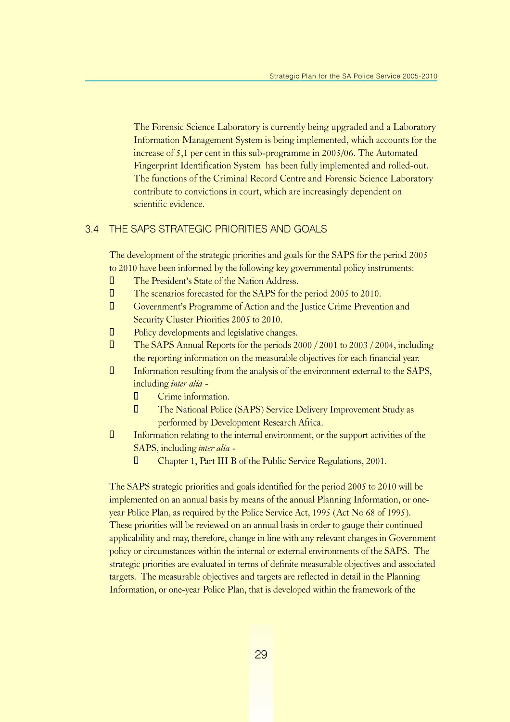The Forensic Science Laboratory is currently being upgraded and a Laboratory Information Management System is being implemented, which accounts for the increase of 5,1 per cent in this sub-programme in 2005/06. The Automated Fingerprint Identification System has been fully implemented and rolled-out. The functions of the Criminal Record Centre and Forensic Science Laboratory contribute to convictions in court, which are increasingly dependent on scientific evidence.

#### 3.4 THE SAPS STRATEGIC PRIORITIES AND GOALS

The development of the strategic priorities and goals for the SAPS for the period 2005 to 2010 have been informed by the following key governmental policy instruments:

- $\Box$  The President's State of the Nation Address.
- **The scenarios forecasted for the SAPS for the period 2005 to 2010.**
- **U** Government's Programme of Action and the Justice Crime Prevention and Security Cluster Priorities 2005 to 2010.
- $\Box$  Policy developments and legislative changes.
- ¡ The SAPS Annual Reports for the periods 2000 / 2001 to 2003 / 2004, including the reporting information on the measurable objectives for each financial year.
- $\Box$  Information resulting from the analysis of the environment external to the SAPS, including inter alia -
	- **D** Crime information.
	- The National Police (SAPS) Service Delivery Improvement Study as performed by Development Research Africa.
- $\Box$  Information relating to the internal environment, or the support activities of the SAPS, including inter alia -
	- Chapter 1, Part III B of the Public Service Regulations, 2001.

The SAPS strategic priorities and goals identified for the period 2005 to 2010 will be implemented on an annual basis by means of the annual Planning Information, or oneyear Police Plan, as required by the Police Service Act, 1995 (Act No 68 of 1995). These priorities will be reviewed on an annual basis in order to gauge their continued applicability and may, therefore, change in line with any relevant changes in Government policy or circumstances within the internal or external environments of the SAPS. The strategic priorities are evaluated in terms of definite measurable objectives and associated targets. The measurable objectives and targets are reflected in detail in the Planning Information, or one-year Police Plan, that is developed within the framework of the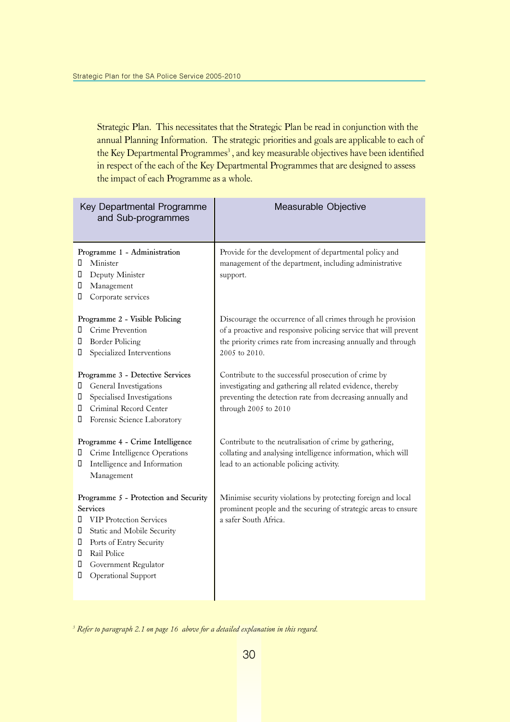Strategic Plan. This necessitates that the Strategic Plan be read in conjunction with the annual Planning Information. The strategic priorities and goals are applicable to each of the Key Departmental Programmes<sup>3</sup>, and key measurable objectives have been identified in respect of the each of the Key Departmental Programmes that are designed to assess the impact of each Programme as a whole.

| Key Departmental Programme<br>and Sub-programmes                                                                                                                                                                                                 | Measurable Objective                                                                                                                                                                                               |
|--------------------------------------------------------------------------------------------------------------------------------------------------------------------------------------------------------------------------------------------------|--------------------------------------------------------------------------------------------------------------------------------------------------------------------------------------------------------------------|
| Programme 1 - Administration<br>Minister<br>0<br>Deputy Minister<br>0<br>П<br>Management<br>П<br>Corporate services                                                                                                                              | Provide for the development of departmental policy and<br>management of the department, including administrative<br>support.                                                                                       |
| Programme 2 - Visible Policing<br>Crime Prevention<br>П<br><b>Border Policing</b><br>0<br>Specialized Interventions<br>0                                                                                                                         | Discourage the occurrence of all crimes through he provision<br>of a proactive and responsive policing service that will prevent<br>the priority crimes rate from increasing annually and through<br>2005 to 2010. |
| Programme 3 - Detective Services<br>General Investigations<br>П<br>Specialised Investigations<br>П<br>Criminal Record Center<br>$\Box$<br>Forensic Science Laboratory<br>0                                                                       | Contribute to the successful prosecution of crime by<br>investigating and gathering all related evidence, thereby<br>preventing the detection rate from decreasing annually and<br>through 2005 to 2010            |
| Programme 4 - Crime Intelligence<br>Crime Intelligence Operations<br>Π.<br>Intelligence and Information<br>П<br>Management                                                                                                                       | Contribute to the neutralisation of crime by gathering,<br>collating and analysing intelligence information, which will<br>lead to an actionable policing activity.                                                |
| Programme 5 - Protection and Security<br><b>Services</b><br><b>VIP Protection Services</b><br>П<br>Static and Mobile Security<br>0<br>Ports of Entry Security<br>0<br>Rail Police<br>Π.<br>П<br>Government Regulator<br>Operational Support<br>П | Minimise security violations by protecting foreign and local<br>prominent people and the securing of strategic areas to ensure<br>a safer South Africa.                                                            |

 $3$  Refer to paragraph 2.1 on page 16 above for a detailed explanation in this regard.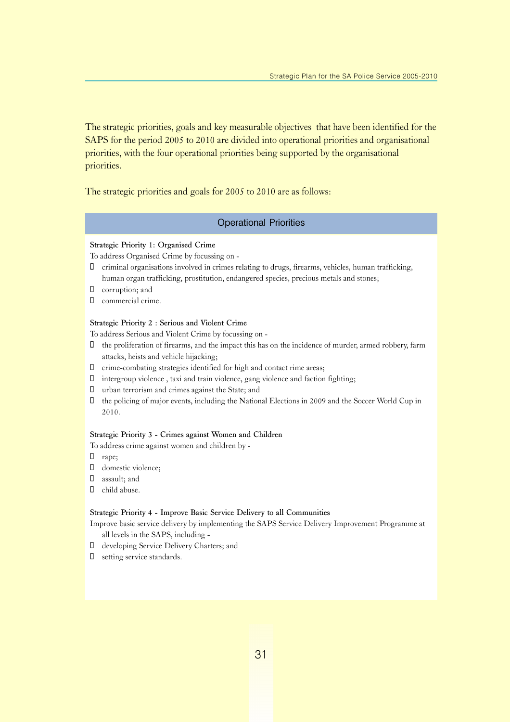The strategic priorities, goals and key measurable objectives that have been identified for the SAPS for the period 2005 to 2010 are divided into operational priorities and organisational priorities, with the four operational priorities being supported by the organisational priorities.

The strategic priorities and goals for 2005 to 2010 are as follows:

#### Operational Priorities

#### Strategic Priority 1: Organised Crime

To address Organised Crime by focussing on -

- criminal organisations involved in crimes relating to drugs, firearms, vehicles, human trafficking, human organ trafficking, prostitution, endangered species, precious metals and stones;
- corruption; and
- commercial crime.

#### Strategic Priority 2 : Serious and Violent Crime

To address Serious and Violent Crime by focussing on -

- the proliferation of firearms, and the impact this has on the incidence of murder, armed robbery, farm attacks, heists and vehicle hijacking;
- crime-combating strategies identified for high and contact rime areas;
- intergroup violence , taxi and train violence, gang violence and faction fighting;
- urban terrorism and crimes against the State; and
- $\Box$  the policing of major events, including the National Elections in 2009 and the Soccer World Cup in 2010.

#### Strategic Priority 3 - Crimes against Women and Children

To address crime against women and children by -

- rape;
- domestic violence;
- assault; and
- child abuse.

#### Strategic Priority 4 - Improve Basic Service Delivery to all Communities

- Improve basic service delivery by implementing the SAPS Service Delivery Improvement Programme at all levels in the SAPS, including -
- developing Service Delivery Charters; and
- setting service standards.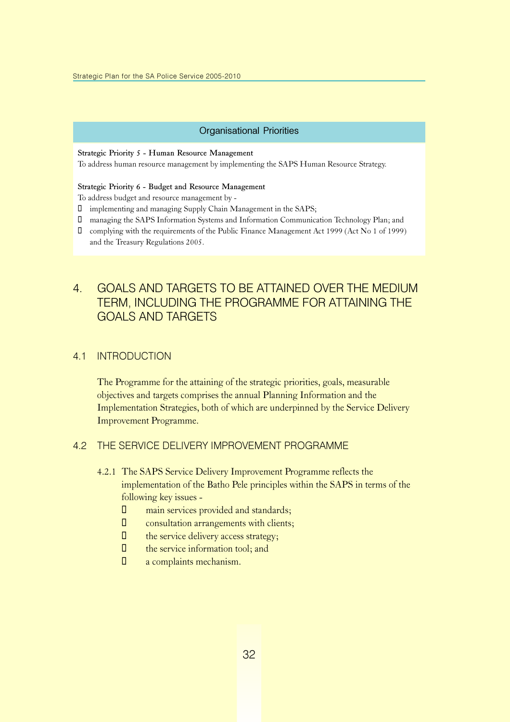#### Organisational Priorities

#### Strategic Priority 5 - Human Resource Management

To address human resource management by implementing the SAPS Human Resource Strategy.

#### Strategic Priority 6 - Budget and Resource Management

To address budget and resource management by -

- implementing and managing Supply Chain Management in the SAPS;
- managing the SAPS Information Systems and Information Communication Technology Plan; and
- complying with the requirements of the Public Finance Management Act 1999 (Act No 1 of 1999) and the Treasury Regulations 2005.

### 4. GOALS AND TARGETS TO BE ATTAINED OVER THE MEDIUM TERM, INCLUDING THE PROGRAMME FOR ATTAINING THE GOALS AND TARGETS

#### 4.1 INTRODUCTION

The Programme for the attaining of the strategic priorities, goals, measurable objectives and targets comprises the annual Planning Information and the Implementation Strategies, both of which are underpinned by the Service Delivery Improvement Programme.

#### 4.2 THE SERVICE DELIVERY IMPROVEMENT PROGRAMME

- 4.2.1 The SAPS Service Delivery Improvement Programme reflects the implementation of the Batho Pele principles within the SAPS in terms of the following key issues -
	- $\square$  main services provided and standards;
	- $\Box$  consultation arrangements with clients;
	- $\Box$  the service delivery access strategy;
	- $\Box$  the service information tool; and
	- $\Box$  a complaints mechanism.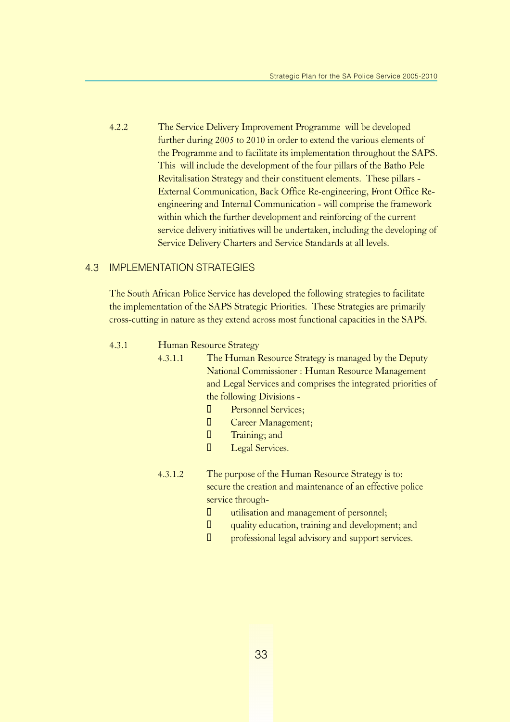4.2.2 The Service Delivery Improvement Programme will be developed further during 2005 to 2010 in order to extend the various elements of the Programme and to facilitate its implementation throughout the SAPS. This will include the development of the four pillars of the Batho Pele Revitalisation Strategy and their constituent elements. These pillars - External Communication, Back Office Re-engineering, Front Office Reengineering and Internal Communication - will comprise the framework within which the further development and reinforcing of the current service delivery initiatives will be undertaken, including the developing of Service Delivery Charters and Service Standards at all levels.

#### 4.3 IMPLEMENTATION STRATEGIES

The South African Police Service has developed the following strategies to facilitate the implementation of the SAPS Strategic Priorities. These Strategies are primarily cross-cutting in nature as they extend across most functional capacities in the SAPS.

#### 4.3.1 Human Resource Strategy

- 4.3.1.1 The Human Resource Strategy is managed by the Deputy National Commissioner : Human Resource Management and Legal Services and comprises the integrated priorities of the following Divisions -
	- **E** Personnel Services:
	- **Career Management;**
	- **I** Training; and
	- **I** Legal Services.
	- 4.3.1.2 The purpose of the Human Resource Strategy is to: secure the creation and maintenance of an effective police service through-
		- $\Box$  utilisation and management of personnel;
		- $\Box$  quality education, training and development; and
		- $\Box$  professional legal advisory and support services.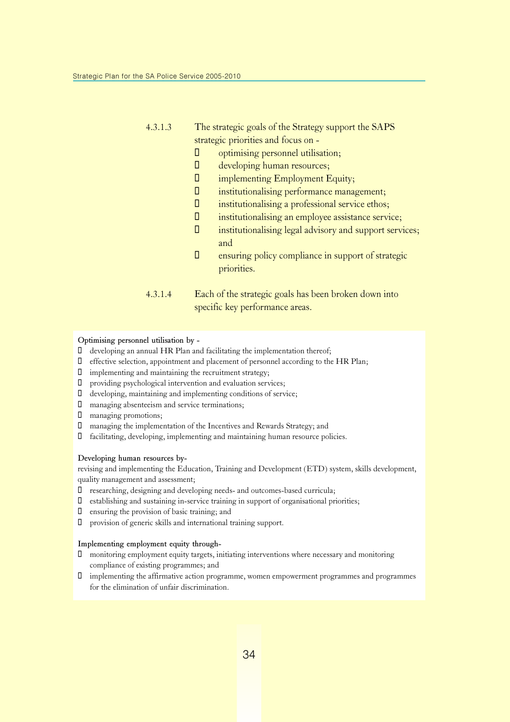#### 4.3.1.3 The strategic goals of the Strategy support the SAPS strategic priorities and focus on -

- $\Box$  optimising personnel utilisation;
- $\Box$  developing human resources;
- $\square$  implementing Employment Equity;
- $\Box$  institutionalising performance management;
- $\Box$  institutionalising a professional service ethos;
- $\square$  institutionalising an employee assistance service;
- $\Box$  institutionalising legal advisory and support services; and
- $\Box$  ensuring policy compliance in support of strategic priorities.
- 4.3.1.4 Each of the strategic goals has been broken down into specific key performance areas.

#### Optimising personnel utilisation by -

- developing an annual HR Plan and facilitating the implementation thereof;
- $\Box$  effective selection, appointment and placement of personnel according to the HR Plan;
- $\Box$  implementing and maintaining the recruitment strategy;
- providing psychological intervention and evaluation services;
- developing, maintaining and implementing conditions of service;
- managing absenteeism and service terminations;
- managing promotions;
- managing the implementation of the Incentives and Rewards Strategy; and
- facilitating, developing, implementing and maintaining human resource policies.

#### Developing human resources by-

revising and implementing the Education, Training and Development (ETD) system, skills development, quality management and assessment;

- researching, designing and developing needs- and outcomes-based curricula;
- establishing and sustaining in-service training in support of organisational priorities;
- $\Box$  ensuring the provision of basic training; and
- provision of generic skills and international training support.

#### Implementing employment equity through-

- monitoring employment equity targets, initiating interventions where necessary and monitoring compliance of existing programmes; and
- implementing the affirmative action programme, women empowerment programmes and programmes for the elimination of unfair discrimination.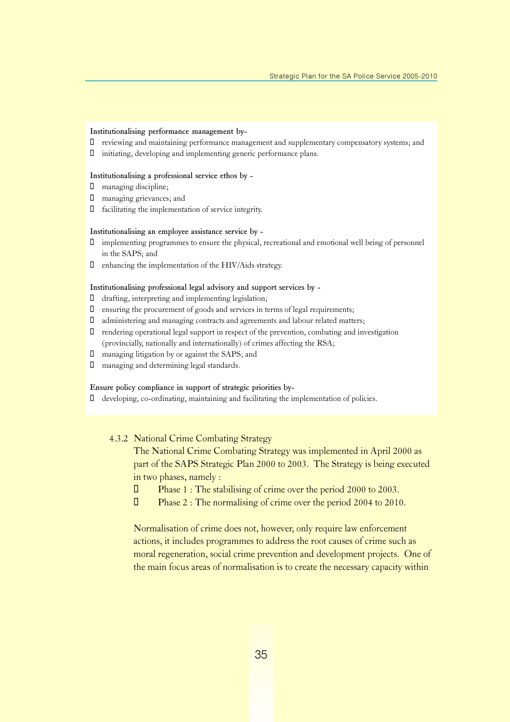#### Institutionalising performance management by-

- reviewing and maintaining performance management and supplementary compensatory systems; and
- initiating, developing and implementing generic performance plans.

#### Institutionalising a professional service ethos by -

- managing discipline;
- managing grievances; and
- facilitating the implementation of service integrity.

#### Institutionalising an employee assistance service by -

- implementing programmes to ensure the physical, recreational and emotional well being of personnel in the SAPS; and
- $\Box$  enhancing the implementation of the HIV/Aids strategy.

#### Institutionalising professional legal advisory and support services by -

- $\Box$  drafting, interpreting and implementing legislation;
- ensuring the procurement of goods and services in terms of legal requirements;
- administering and managing contracts and agreements and labour related matters;
- rendering operational legal support in respect of the prevention, combating and investigation (provincially, nationally and internationally) of crimes affecting the RSA;
- managing litigation by or against the SAPS; and
- managing and determining legal standards.

#### Ensure policy compliance in support of strategic priorities by-

developing, co-ordinating, maintaining and facilitating the implementation of policies.

#### 4.3.2 National Crime Combating Strategy

The National Crime Combating Strategy was implemented in April 2000 as part of the SAPS Strategic Plan 2000 to 2003. The Strategy is being executed in two phases, namely :

- □ Phase 1 : The stabilising of crime over the period 2000 to 2003.
- $\Box$  Phase 2 : The normalising of crime over the period 2004 to 2010.

Normalisation of crime does not, however, only require law enforcement actions, it includes programmes to address the root causes of crime such as moral regeneration, social crime prevention and development projects. One of the main focus areas of normalisation is to create the necessary capacity within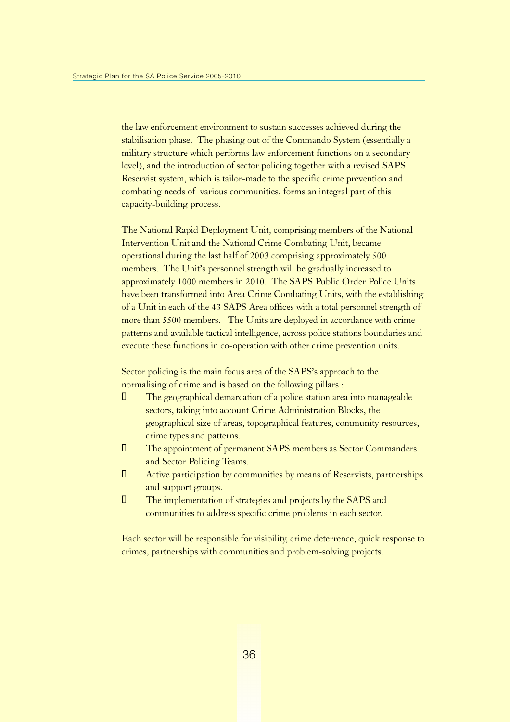the law enforcement environment to sustain successes achieved during the stabilisation phase. The phasing out of the Commando System (essentially a military structure which performs law enforcement functions on a secondary level), and the introduction of sector policing together with a revised SAPS Reservist system, which is tailor-made to the specific crime prevention and combating needs of various communities, forms an integral part of this capacity-building process.

The National Rapid Deployment Unit, comprising members of the National Intervention Unit and the National Crime Combating Unit, became operational during the last half of 2003 comprising approximately 500 members. The Unit's personnel strength will be gradually increased to approximately 1000 members in 2010. The SAPS Public Order Police Units have been transformed into Area Crime Combating Units, with the establishing of a Unit in each of the 43 SAPS Area offices with a total personnel strength of more than 5500 members. The Units are deployed in accordance with crime patterns and available tactical intelligence, across police stations boundaries and execute these functions in co-operation with other crime prevention units.

Sector policing is the main focus area of the SAPS's approach to the normalising of crime and is based on the following pillars :

- $\Box$  The geographical demarcation of a police station area into manageable sectors, taking into account Crime Administration Blocks, the geographical size of areas, topographical features, community resources, crime types and patterns.
- ¡ The appointment of permanent SAPS members as Sector Commanders and Sector Policing Teams.
- $\Box$  Active participation by communities by means of Reservists, partnerships and support groups.
- **The implementation of strategies and projects by the SAPS and** communities to address specific crime problems in each sector.

Each sector will be responsible for visibility, crime deterrence, quick response to crimes, partnerships with communities and problem-solving projects.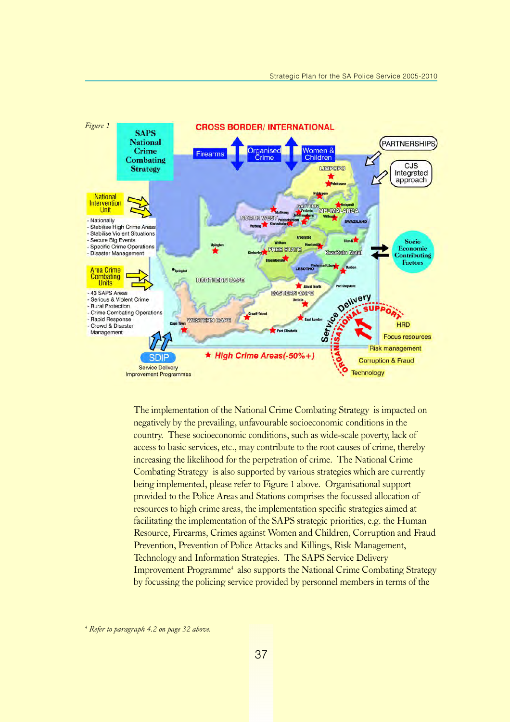

The implementation of the National Crime Combating Strategy is impacted on negatively by the prevailing, unfavourable socioeconomic conditions in the country. These socioeconomic conditions, such as wide-scale poverty, lack of access to basic services, etc., may contribute to the root causes of crime, thereby increasing the likelihood for the perpetration of crime. The National Crime Combating Strategy is also supported by various strategies which are currently being implemented, please refer to Figure 1 above. Organisational support provided to the Police Areas and Stations comprises the focussed allocation of resources to high crime areas, the implementation specific strategies aimed at facilitating the implementation of the SAPS strategic priorities, e.g. the Human Resource, Firearms, Crimes against Women and Children, Corruption and Fraud Prevention, Prevention of Police Attacks and Killings, Risk Management, Technology and Information Strategies. The SAPS Service Delivery Improvement Programme<sup>4</sup> also supports the National Crime Combating Strategy by focussing the policing service provided by personnel members in terms of the

4 Refer to paragraph 4.2 on page 32 above.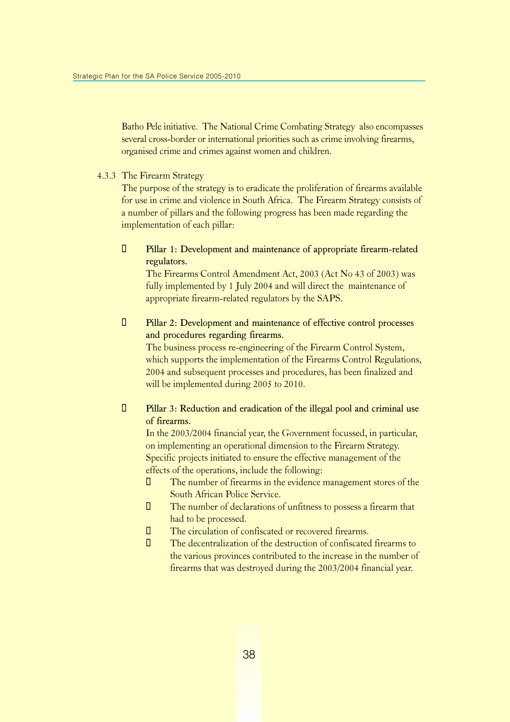Batho Pele initiative. The National Crime Combating Strategy also encompasses several cross-border or international priorities such as crime involving firearms, organised crime and crimes against women and children.

4.3.3 The Firearm Strategy

The purpose of the strategy is to eradicate the proliferation of firearms available for use in crime and violence in South Africa. The Firearm Strategy consists of a number of pillars and the following progress has been made regarding the implementation of each pillar:

¡ Pillar 1: Development and maintenance of appropriate firearm-related regulators.

The Firearms Control Amendment Act, 2003 (Act No 43 of 2003) was fully implemented by 1 July 2004 and will direct the maintenance of appropriate firearm-related regulators by the SAPS.

 $\Box$  Pillar 2: Development and maintenance of effective control processes and procedures regarding firearms.

The business process re-engineering of the Firearm Control System, which supports the implementation of the Firearms Control Regulations, 2004 and subsequent processes and procedures, has been finalized and will be implemented during 2005 to 2010.

 $\Box$  Pillar 3: Reduction and eradication of the illegal pool and criminal use of firearms.

In the 2003/2004 financial year, the Government focussed, in particular, on implementing an operational dimension to the Firearm Strategy. Specific projects initiated to ensure the effective management of the effects of the operations, include the following:

- The number of firearms in the evidence management stores of the South African Police Service.
- The number of declarations of unfitness to possess a firearm that had to be processed.
- The circulation of confiscated or recovered firearms.
- The decentralization of the destruction of confiscated firearms to the various provinces contributed to the increase in the number of firearms that was destroyed during the 2003/2004 financial year.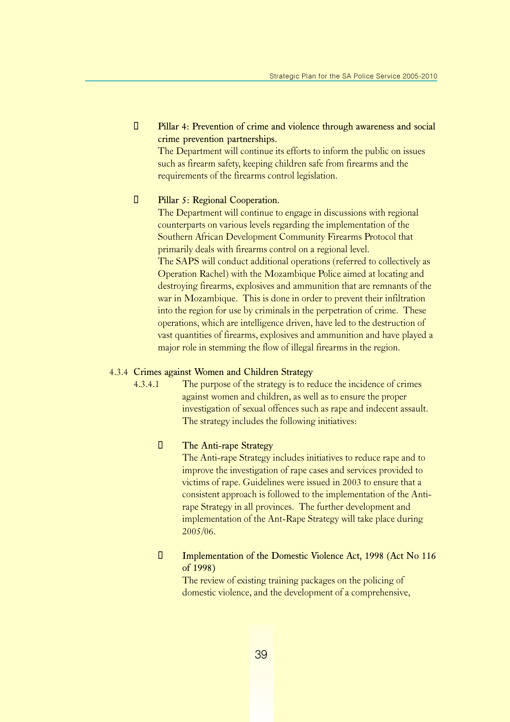**T** Pillar 4: Prevention of crime and violence through awareness and social crime prevention partnerships.

The Department will continue its efforts to inform the public on issues such as firearm safety, keeping children safe from firearms and the requirements of the firearms control legislation.

#### **U** Pillar 5: Regional Cooperation.

The Department will continue to engage in discussions with regional counterparts on various levels regarding the implementation of the Southern African Development Community Firearms Protocol that primarily deals with firearms control on a regional level. The SAPS will conduct additional operations (referred to collectively as Operation Rachel) with the Mozambique Police aimed at locating and destroying firearms, explosives and ammunition that are remnants of the war in Mozambique. This is done in order to prevent their infiltration into the region for use by criminals in the perpetration of crime. These operations, which are intelligence driven, have led to the destruction of vast quantities of firearms, explosives and ammunition and have played a major role in stemming the flow of illegal firearms in the region.

#### 4.3.4 Crimes against Women and Children Strategy

4.3.4.1 The purpose of the strategy is to reduce the incidence of crimes against women and children, as well as to ensure the proper investigation of sexual offences such as rape and indecent assault. The strategy includes the following initiatives:

#### **The Anti-rape Strategy**

The Anti-rape Strategy includes initiatives to reduce rape and to improve the investigation of rape cases and services provided to victims of rape. Guidelines were issued in 2003 to ensure that a consistent approach is followed to the implementation of the Antirape Strategy in all provinces. The further development and implementation of the Ant-Rape Strategy will take place during 2005/06.

#### **Implementation of the Domestic Violence Act, 1998 (Act No 116)** of 1998)

The review of existing training packages on the policing of domestic violence, and the development of a comprehensive,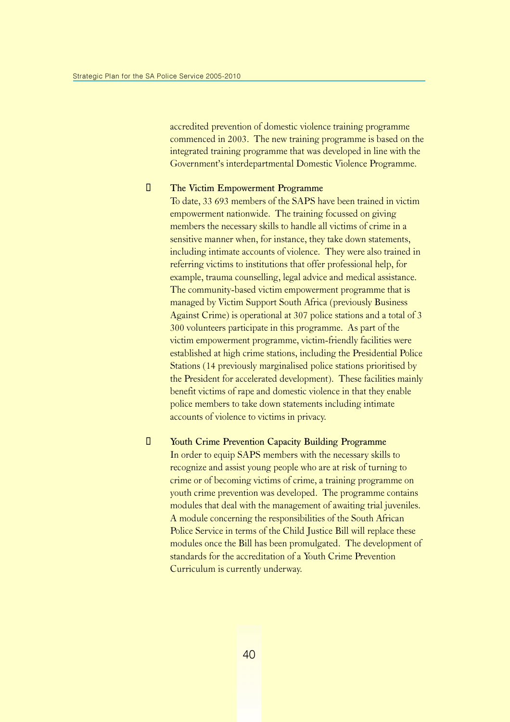accredited prevention of domestic violence training programme commenced in 2003. The new training programme is based on the integrated training programme that was developed in line with the Government's interdepartmental Domestic Violence Programme.

#### $\Box$  The Victim Empowerment Programme

To date, 33 693 members of the SAPS have been trained in victim empowerment nationwide. The training focussed on giving members the necessary skills to handle all victims of crime in a sensitive manner when, for instance, they take down statements, including intimate accounts of violence. They were also trained in referring victims to institutions that offer professional help, for example, trauma counselling, legal advice and medical assistance. The community-based victim empowerment programme that is managed by Victim Support South Africa (previously Business Against Crime) is operational at 307 police stations and a total of 3 300 volunteers participate in this programme. As part of the victim empowerment programme, victim-friendly facilities were established at high crime stations, including the Presidential Police Stations (14 previously marginalised police stations prioritised by the President for accelerated development). These facilities mainly benefit victims of rape and domestic violence in that they enable police members to take down statements including intimate accounts of violence to victims in privacy.

#### **T** Youth Crime Prevention Capacity Building Programme

In order to equip SAPS members with the necessary skills to recognize and assist young people who are at risk of turning to crime or of becoming victims of crime, a training programme on youth crime prevention was developed. The programme contains modules that deal with the management of awaiting trial juveniles. A module concerning the responsibilities of the South African Police Service in terms of the Child Justice Bill will replace these modules once the Bill has been promulgated. The development of standards for the accreditation of a Youth Crime Prevention Curriculum is currently underway.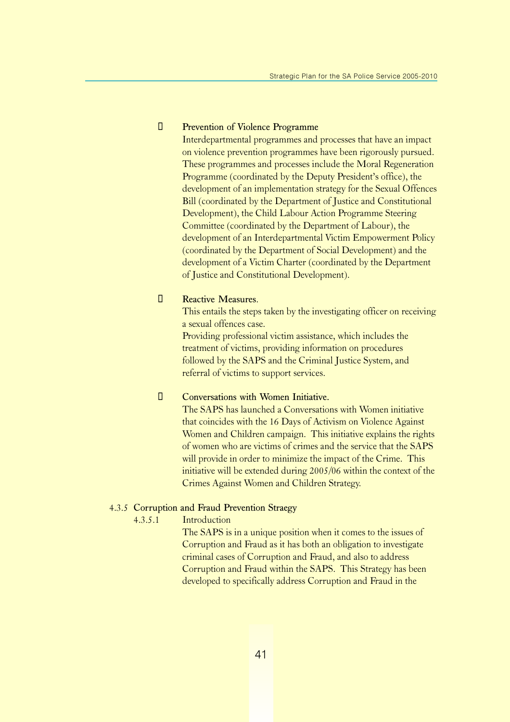#### **<u>I</u>** Prevention of Violence Programme

Interdepartmental programmes and processes that have an impact on violence prevention programmes have been rigorously pursued. These programmes and processes include the Moral Regeneration Programme (coordinated by the Deputy President's office), the development of an implementation strategy for the Sexual Offences Bill (coordinated by the Department of Justice and Constitutional Development), the Child Labour Action Programme Steering Committee (coordinated by the Department of Labour), the development of an Interdepartmental Victim Empowerment Policy (coordinated by the Department of Social Development) and the development of a Victim Charter (coordinated by the Department of Justice and Constitutional Development).

#### **E** Reactive Measures.

This entails the steps taken by the investigating officer on receiving a sexual offences case.

Providing professional victim assistance, which includes the treatment of victims, providing information on procedures followed by the SAPS and the Criminal Justice System, and referral of victims to support services.

#### $\Box$  Conversations with Women Initiative.

The SAPS has launched a Conversations with Women initiative that coincides with the 16 Days of Activism on Violence Against Women and Children campaign. This initiative explains the rights of women who are victims of crimes and the service that the SAPS will provide in order to minimize the impact of the Crime. This initiative will be extended during 2005/06 within the context of the Crimes Against Women and Children Strategy.

#### 4.3.5 Corruption and Fraud Prevention Straegy

#### 4.3.5.1 Introduction

The SAPS is in a unique position when it comes to the issues of Corruption and Fraud as it has both an obligation to investigate criminal cases of Corruption and Fraud, and also to address Corruption and Fraud within the SAPS. This Strategy has been developed to specifically address Corruption and Fraud in the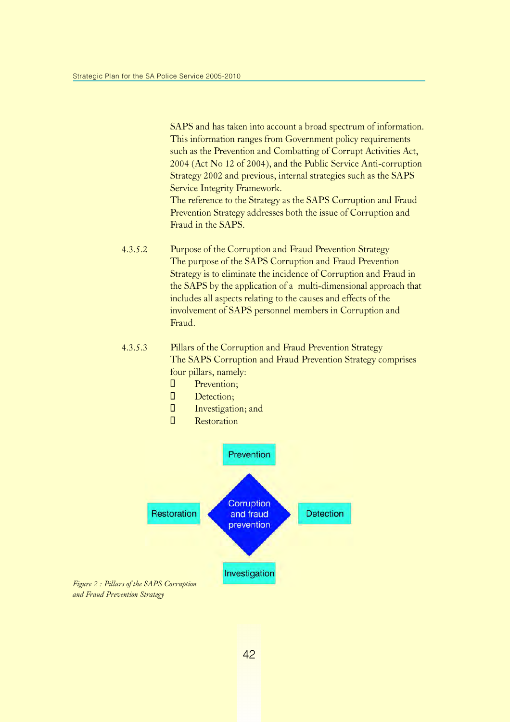SAPS and has taken into account a broad spectrum of information. This information ranges from Government policy requirements such as the Prevention and Combatting of Corrupt Activities Act, 2004 (Act No 12 of 2004), and the Public Service Anti-corruption Strategy 2002 and previous, internal strategies such as the SAPS Service Integrity Framework. The reference to the Strategy as the SAPS Corruption and Fraud

Prevention Strategy addresses both the issue of Corruption and Fraud in the SAPS.

- 4.3.5.2 Purpose of the Corruption and Fraud Prevention Strategy The purpose of the SAPS Corruption and Fraud Prevention Strategy is to eliminate the incidence of Corruption and Fraud in the SAPS by the application of a multi-dimensional approach that includes all aspects relating to the causes and effects of the involvement of SAPS personnel members in Corruption and Fraud.
- 4.3.5.3 Pillars of the Corruption and Fraud Prevention Strategy The SAPS Corruption and Fraud Prevention Strategy comprises four pillars, namely:
	- **I** Prevention;
	- **D** Detection;
	- $\Box$  Investigation; and
	- **I** Restoration



Figure 2 : Pillars of the SAPS Corruption and Fraud Prevention Strategy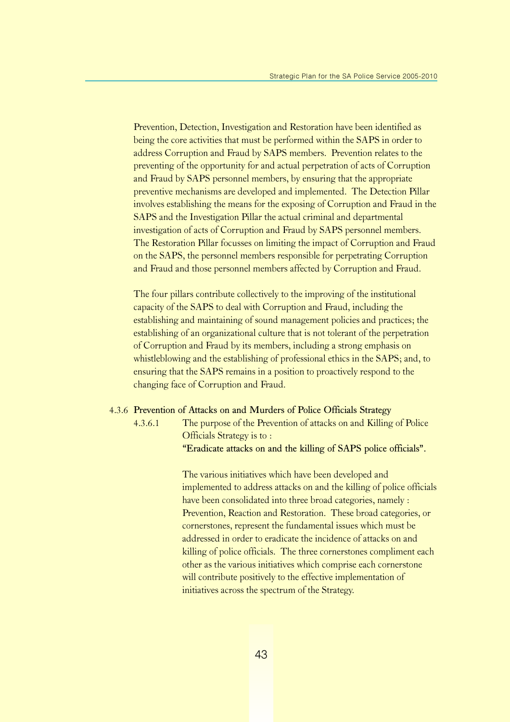Prevention, Detection, Investigation and Restoration have been identified as being the core activities that must be performed within the SAPS in order to address Corruption and Fraud by SAPS members. Prevention relates to the preventing of the opportunity for and actual perpetration of acts of Corruption and Fraud by SAPS personnel members, by ensuring that the appropriate preventive mechanisms are developed and implemented. The Detection Pillar involves establishing the means for the exposing of Corruption and Fraud in the SAPS and the Investigation Pillar the actual criminal and departmental investigation of acts of Corruption and Fraud by SAPS personnel members. The Restoration Pillar focusses on limiting the impact of Corruption and Fraud on the SAPS, the personnel members responsible for perpetrating Corruption and Fraud and those personnel members affected by Corruption and Fraud.

The four pillars contribute collectively to the improving of the institutional capacity of the SAPS to deal with Corruption and Fraud, including the establishing and maintaining of sound management policies and practices; the establishing of an organizational culture that is not tolerant of the perpetration of Corruption and Fraud by its members, including a strong emphasis on whistleblowing and the establishing of professional ethics in the SAPS; and, to ensuring that the SAPS remains in a position to proactively respond to the changing face of Corruption and Fraud.

#### 4.3.6 Prevention of Attacks on and Murders of Police Officials Strategy

4.3.6.1 The purpose of the Prevention of attacks on and Killing of Police Officials Strategy is to :

"Eradicate attacks on and the killing of SAPS police officials".

The various initiatives which have been developed and implemented to address attacks on and the killing of police officials have been consolidated into three broad categories, namely : Prevention, Reaction and Restoration. These broad categories, or cornerstones, represent the fundamental issues which must be addressed in order to eradicate the incidence of attacks on and killing of police officials. The three cornerstones compliment each other as the various initiatives which comprise each cornerstone will contribute positively to the effective implementation of initiatives across the spectrum of the Strategy.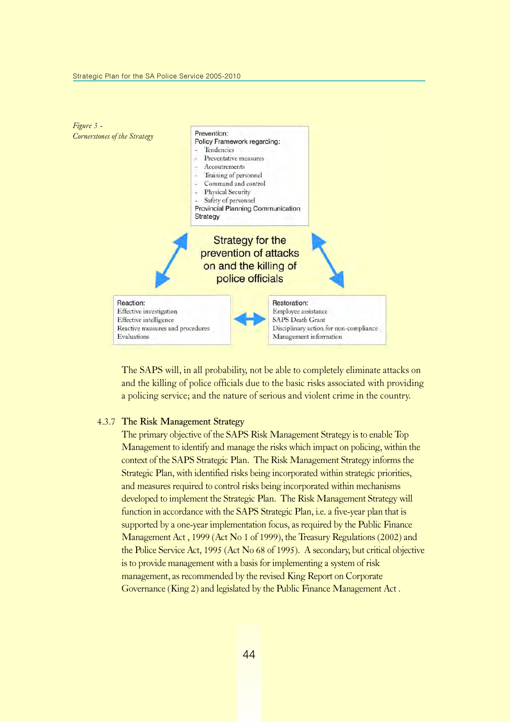

The SAPS will, in all probability, not be able to completely eliminate attacks on and the killing of police officials due to the basic risks associated with providing a policing service; and the nature of serious and violent crime in the country.

#### 4.3.7 The Risk Management Strategy

The primary objective of the SAPS Risk Management Strategy is to enable Top Management to identify and manage the risks which impact on policing, within the context of the SAPS Strategic Plan. The Risk Management Strategy informs the Strategic Plan, with identified risks being incorporated within strategic priorities, and measures required to control risks being incorporated within mechanisms developed to implement the Strategic Plan. The Risk Management Strategy will function in accordance with the SAPS Strategic Plan, i.e. a five-year plan that is supported by a one-year implementation focus, as required by the Public Finance Management Act , 1999 (Act No 1 of 1999), the Treasury Regulations (2002) and the Police Service Act, 1995 (Act No 68 of 1995). A secondary, but critical objective is to provide management with a basis for implementing a system of risk management, as recommended by the revised King Report on Corporate Governance (King 2) and legislated by the Public Finance Management Act .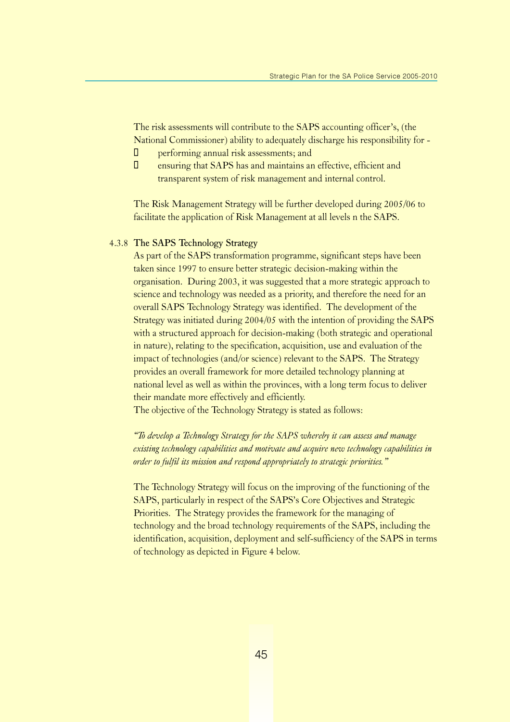The risk assessments will contribute to the SAPS accounting officer's, (the National Commissioner) ability to adequately discharge his responsibility for -

- $\Box$  performing annual risk assessments; and
- $\Box$  ensuring that SAPS has and maintains an effective, efficient and transparent system of risk management and internal control.

The Risk Management Strategy will be further developed during 2005/06 to facilitate the application of Risk Management at all levels n the SAPS.

#### 4.3.8 The SAPS Technology Strategy

As part of the SAPS transformation programme, significant steps have been taken since 1997 to ensure better strategic decision-making within the organisation. During 2003, it was suggested that a more strategic approach to science and technology was needed as a priority, and therefore the need for an overall SAPS Technology Strategy was identified. The development of the Strategy was initiated during 2004/05 with the intention of providing the SAPS with a structured approach for decision-making (both strategic and operational in nature), relating to the specification, acquisition, use and evaluation of the impact of technologies (and/or science) relevant to the SAPS. The Strategy provides an overall framework for more detailed technology planning at national level as well as within the provinces, with a long term focus to deliver their mandate more effectively and efficiently.

The objective of the Technology Strategy is stated as follows:

"To develop a Technology Strategy for the SAPS whereby it can assess and manage existing technology capabilities and motivate and acquire new technology capabilities in order to fulfil its mission and respond appropriately to strategic priorities."

The Technology Strategy will focus on the improving of the functioning of the SAPS, particularly in respect of the SAPS's Core Objectives and Strategic Priorities. The Strategy provides the framework for the managing of technology and the broad technology requirements of the SAPS, including the identification, acquisition, deployment and self-sufficiency of the SAPS in terms of technology as depicted in Figure 4 below.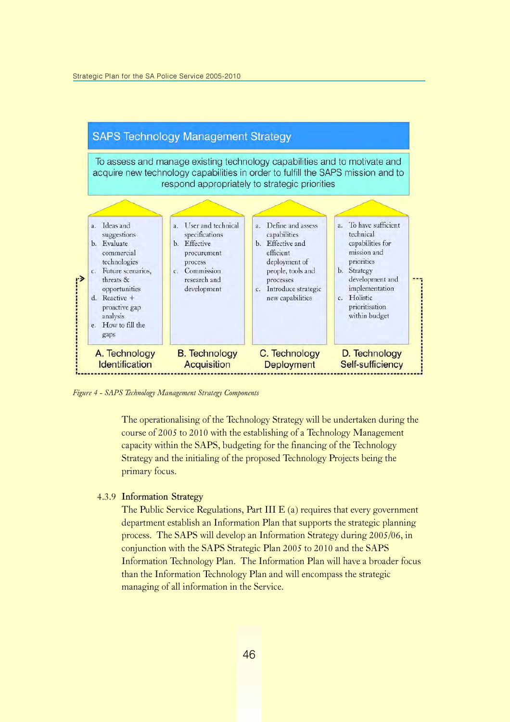

Figure 4 - SAPS Technology Management Strategy Components

The operationalising of the Technology Strategy will be undertaken during the course of 2005 to 2010 with the establishing of a Technology Management capacity within the SAPS, budgeting for the financing of the Technology Strategy and the initialing of the proposed Technology Projects being the primary focus.

#### 4.3.9 Information Strategy

The Public Service Regulations, Part III E (a) requires that every government department establish an Information Plan that supports the strategic planning process. The SAPS will develop an Information Strategy during 2005/06, in conjunction with the SAPS Strategic Plan 2005 to 2010 and the SAPS Information Technology Plan. The Information Plan will have a broader focus than the Information Technology Plan and will encompass the strategic managing of all information in the Service.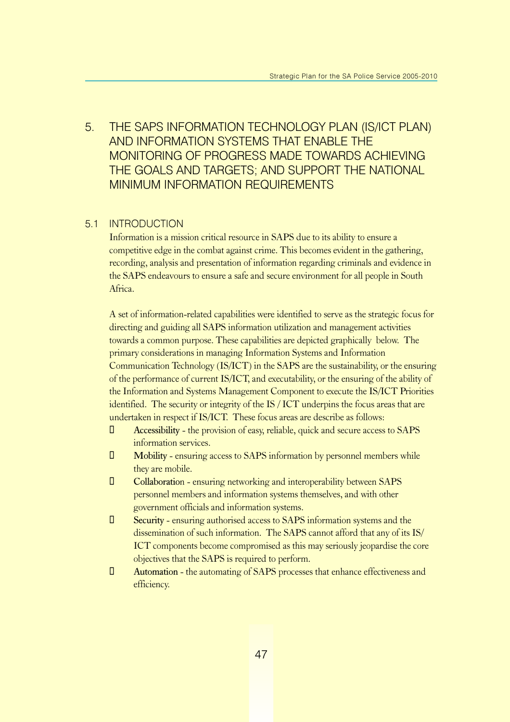### 5. THE SAPS INFORMATION TECHNOLOGY PLAN (IS/ICT PLAN) AND INFORMATION SYSTEMS THAT ENABLE THE MONITORING OF PROGRESS MADE TOWARDS ACHIEVING THE GOALS AND TARGETS; AND SUPPORT THE NATIONAL MINIMUM INFORMATION REQUIREMENTS

#### 5.1 INTRODUCTION

Information is a mission critical resource in SAPS due to its ability to ensure a competitive edge in the combat against crime. This becomes evident in the gathering, recording, analysis and presentation of information regarding criminals and evidence in the SAPS endeavours to ensure a safe and secure environment for all people in South Africa.

A set of information-related capabilities were identified to serve as the strategic focus for directing and guiding all SAPS information utilization and management activities towards a common purpose. These capabilities are depicted graphically below. The primary considerations in managing Information Systems and Information Communication Technology (IS/ICT) in the SAPS are the sustainability, or the ensuring of the performance of current IS/ICT, and executability, or the ensuring of the ability of the Information and Systems Management Component to execute the IS/ICT Priorities identified. The security or integrity of the IS / ICT underpins the focus areas that are undertaken in respect if IS/ICT. These focus areas are describe as follows:

- $\Box$  Accessibility the provision of easy, reliable, quick and secure access to SAPS information services.
- $\Box$  Mobility ensuring access to SAPS information by personnel members while they are mobile.
- ¡ Collaboration ensuring networking and interoperability between SAPS personnel members and information systems themselves, and with other government officials and information systems.
- $\Box$  Security ensuring authorised access to SAPS information systems and the dissemination of such information. The SAPS cannot afford that any of its IS/ ICT components become compromised as this may seriously jeopardise the core objectives that the SAPS is required to perform.
- ¡ Automation the automating of SAPS processes that enhance effectiveness and efficiency.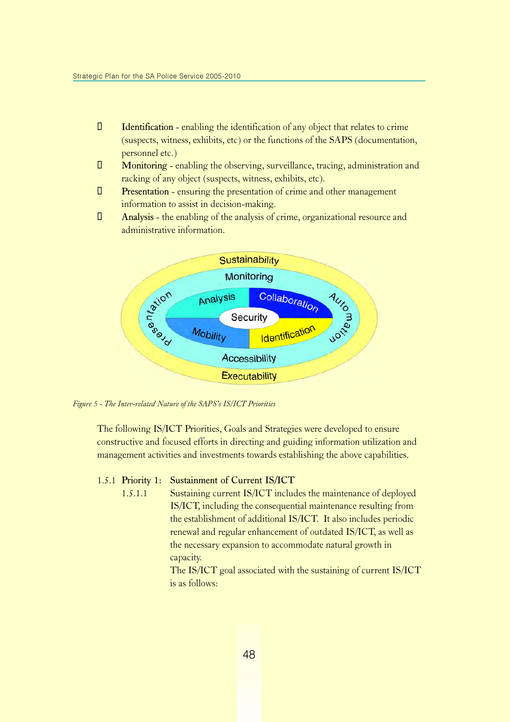- $\Box$  Identification enabling the identification of any object that relates to crime (suspects, witness, exhibits, etc) or the functions of the SAPS (documentation, personnel etc.)
- ¡ Monitoring enabling the observing, surveillance, tracing, administration and racking of any object (suspects, witness, exhibits, etc).
- $\Box$  Presentation ensuring the presentation of crime and other management information to assist in decision-making.
- ¡ Analysis the enabling of the analysis of crime, organizational resource and administrative information.



Figure 5 - The Inter-related Nature of the SAPS's IS/ICT Priorities

The following IS/ICT Priorities, Goals and Strategies were developed to ensure constructive and focused efforts in directing and guiding information utilization and management activities and investments towards establishing the above capabilities.

#### 1.5.1 Priority 1: Sustainment of Current IS/ICT

1.5.1.1 Sustaining current IS/ICT includes the maintenance of deployed IS/ICT, including the consequential maintenance resulting from the establishment of additional IS/ICT. It also includes periodic renewal and regular enhancement of outdated IS/ICT, as well as the necessary expansion to accommodate natural growth in capacity.

> The IS/ICT goal associated with the sustaining of current IS/ICT is as follows: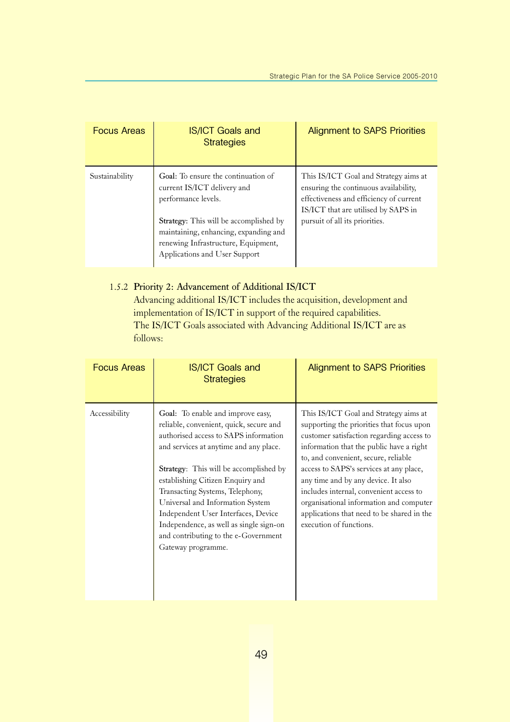| <b>Focus Areas</b> | <b>IS/ICT Goals and</b><br><b>Strategies</b>                                                                                                                                                                                                         | <b>Alignment to SAPS Priorities</b>                                                                                                                                                                |
|--------------------|------------------------------------------------------------------------------------------------------------------------------------------------------------------------------------------------------------------------------------------------------|----------------------------------------------------------------------------------------------------------------------------------------------------------------------------------------------------|
| Sustainability     | Goal: To ensure the continuation of<br>current IS/ICT delivery and<br>performance levels.<br>Strategy: This will be accomplished by<br>maintaining, enhancing, expanding and<br>renewing Infrastructure, Equipment,<br>Applications and User Support | This IS/ICT Goal and Strategy aims at<br>ensuring the continuous availability,<br>effectiveness and efficiency of current<br>IS/ICT that are utilised by SAPS in<br>pursuit of all its priorities. |

### 1.5.2 Priority 2: Advancement of Additional IS/ICT

Advancing additional IS/ICT includes the acquisition, development and implementation of IS/ICT in support of the required capabilities. The IS/ICT Goals associated with Advancing Additional IS/ICT are as follows:

| <b>Focus Areas</b> | <b>IS/ICT Goals and</b><br><b>Strategies</b>                                                                                                                                                                                                                                                                                                                                                                                                                         | <b>Alignment to SAPS Priorities</b>                                                                                                                                                                                                                                                                                                                                                                                                                                  |
|--------------------|----------------------------------------------------------------------------------------------------------------------------------------------------------------------------------------------------------------------------------------------------------------------------------------------------------------------------------------------------------------------------------------------------------------------------------------------------------------------|----------------------------------------------------------------------------------------------------------------------------------------------------------------------------------------------------------------------------------------------------------------------------------------------------------------------------------------------------------------------------------------------------------------------------------------------------------------------|
| Accessibility      | Goal: To enable and improve easy,<br>reliable, convenient, quick, secure and<br>authorised access to SAPS information<br>and services at anytime and any place.<br>Strategy: This will be accomplished by<br>establishing Citizen Enquiry and<br>Transacting Systems, Telephony,<br>Universal and Information System<br>Independent User Interfaces, Device<br>Independence, as well as single sign-on<br>and contributing to the e-Government<br>Gateway programme. | This IS/ICT Goal and Strategy aims at<br>supporting the priorities that focus upon<br>customer satisfaction regarding access to<br>information that the public have a right<br>to, and convenient, secure, reliable<br>access to SAPS's services at any place,<br>any time and by any device. It also<br>includes internal, convenient access to<br>organisational information and computer<br>applications that need to be shared in the<br>execution of functions. |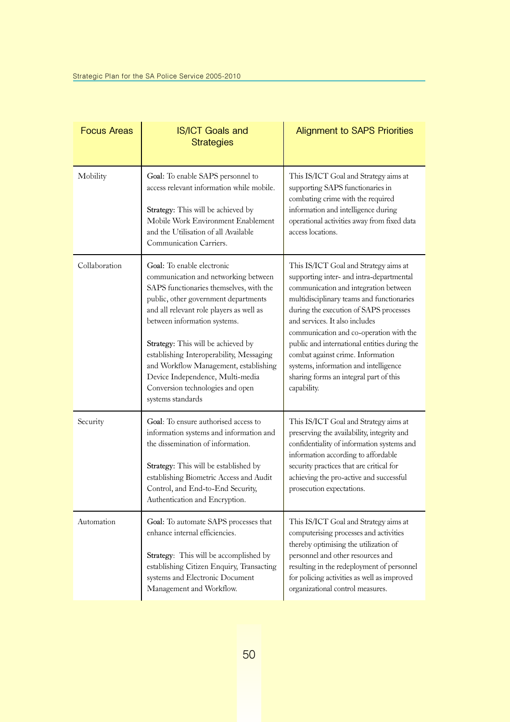| <b>Focus Areas</b> | <b>IS/ICT Goals and</b><br><b>Strategies</b>                                                                                                                                                                                                                                                                                                                                                                                                              | <b>Alignment to SAPS Priorities</b>                                                                                                                                                                                                                                                                                                                                                                                                                                                   |
|--------------------|-----------------------------------------------------------------------------------------------------------------------------------------------------------------------------------------------------------------------------------------------------------------------------------------------------------------------------------------------------------------------------------------------------------------------------------------------------------|---------------------------------------------------------------------------------------------------------------------------------------------------------------------------------------------------------------------------------------------------------------------------------------------------------------------------------------------------------------------------------------------------------------------------------------------------------------------------------------|
| Mobility           | Goal: To enable SAPS personnel to<br>access relevant information while mobile.                                                                                                                                                                                                                                                                                                                                                                            | This IS/ICT Goal and Strategy aims at<br>supporting SAPS functionaries in<br>combating crime with the required                                                                                                                                                                                                                                                                                                                                                                        |
|                    | Strategy: This will be achieved by<br>Mobile Work Environment Enablement<br>and the Utilisation of all Available<br>Communication Carriers.                                                                                                                                                                                                                                                                                                               | information and intelligence during<br>operational activities away from fixed data<br>access locations.                                                                                                                                                                                                                                                                                                                                                                               |
| Collaboration      | Goal: To enable electronic<br>communication and networking between<br>SAPS functionaries themselves, with the<br>public, other government departments<br>and all relevant role players as well as<br>between information systems.<br>Strategy: This will be achieved by<br>establishing Interoperability, Messaging<br>and Workflow Management, establishing<br>Device Independence, Multi-media<br>Conversion technologies and open<br>systems standards | This IS/ICT Goal and Strategy aims at<br>supporting inter- and intra-departmental<br>communication and integration between<br>multidisciplinary teams and functionaries<br>during the execution of SAPS processes<br>and services. It also includes<br>communication and co-operation with the<br>public and international entities during the<br>combat against crime. Information<br>systems, information and intelligence<br>sharing forms an integral part of this<br>capability. |
| Security           | Goal: To ensure authorised access to<br>information systems and information and<br>the dissemination of information.<br>Strategy: This will be established by<br>establishing Biometric Access and Audit<br>Control, and End-to-End Security,<br>Authentication and Encryption.                                                                                                                                                                           | This IS/ICT Goal and Strategy aims at<br>preserving the availability, integrity and<br>confidentiality of information systems and<br>information according to affordable<br>security practices that are critical for<br>achieving the pro-active and successful<br>prosecution expectations.                                                                                                                                                                                          |
| Automation         | Goal: To automate SAPS processes that<br>enhance internal efficiencies.<br><b>Strategy:</b> This will be accomplished by<br>establishing Citizen Enquiry, Transacting<br>systems and Electronic Document<br>Management and Workflow.                                                                                                                                                                                                                      | This IS/ICT Goal and Strategy aims at<br>computerising processes and activities<br>thereby optimising the utilization of<br>personnel and other resources and<br>resulting in the redeployment of personnel<br>for policing activities as well as improved<br>organizational control measures.                                                                                                                                                                                        |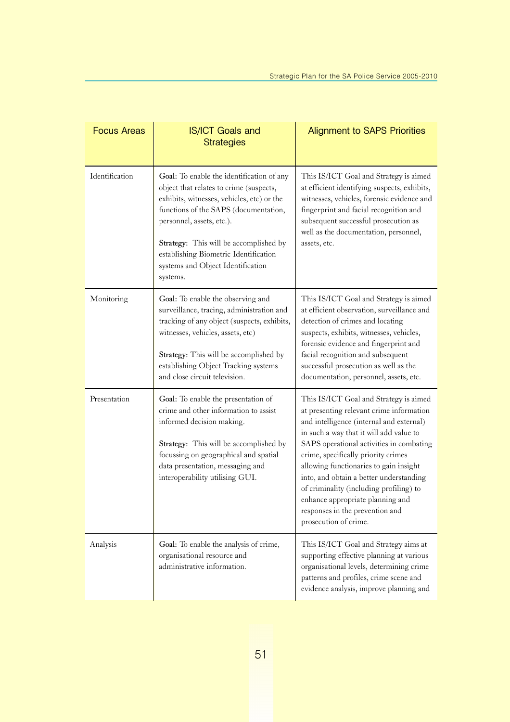| <b>Focus Areas</b> | <b>IS/ICT Goals and</b><br><b>Strategies</b>                                                                                                                                                                                                                                                                                                 | <b>Alignment to SAPS Priorities</b>                                                                                                                                                                                                                                                                                                                                                                                                                                                          |
|--------------------|----------------------------------------------------------------------------------------------------------------------------------------------------------------------------------------------------------------------------------------------------------------------------------------------------------------------------------------------|----------------------------------------------------------------------------------------------------------------------------------------------------------------------------------------------------------------------------------------------------------------------------------------------------------------------------------------------------------------------------------------------------------------------------------------------------------------------------------------------|
| Identification     | Goal: To enable the identification of any<br>object that relates to crime (suspects,<br>exhibits, witnesses, vehicles, etc) or the<br>functions of the SAPS (documentation,<br>personnel, assets, etc.).<br>Strategy: This will be accomplished by<br>establishing Biometric Identification<br>systems and Object Identification<br>systems. | This IS/ICT Goal and Strategy is aimed<br>at efficient identifying suspects, exhibits,<br>witnesses, vehicles, forensic evidence and<br>fingerprint and facial recognition and<br>subsequent successful prosecution as<br>well as the documentation, personnel,<br>assets, etc.                                                                                                                                                                                                              |
| Monitoring         | Goal: To enable the observing and<br>surveillance, tracing, administration and<br>tracking of any object (suspects, exhibits,<br>witnesses, vehicles, assets, etc)<br>Strategy: This will be accomplished by<br>establishing Object Tracking systems<br>and close circuit television.                                                        | This IS/ICT Goal and Strategy is aimed<br>at efficient observation, surveillance and<br>detection of crimes and locating<br>suspects, exhibits, witnesses, vehicles,<br>forensic evidence and fingerprint and<br>facial recognition and subsequent<br>successful prosecution as well as the<br>documentation, personnel, assets, etc.                                                                                                                                                        |
| Presentation       | Goal: To enable the presentation of<br>crime and other information to assist<br>informed decision making.<br>Strategy: This will be accomplished by<br>focussing on geographical and spatial<br>data presentation, messaging and<br>interoperability utilising GUI.                                                                          | This IS/ICT Goal and Strategy is aimed<br>at presenting relevant crime information<br>and intelligence (internal and external)<br>in such a way that it will add value to<br>SAPS operational activities in combating<br>crime, specifically priority crimes<br>allowing functionaries to gain insight<br>into, and obtain a better understanding<br>of criminality (including profiling) to<br>enhance appropriate planning and<br>responses in the prevention and<br>prosecution of crime. |
| Analysis           | Goal: To enable the analysis of crime,<br>organisational resource and<br>administrative information.                                                                                                                                                                                                                                         | This IS/ICT Goal and Strategy aims at<br>supporting effective planning at various<br>organisational levels, determining crime<br>patterns and profiles, crime scene and<br>evidence analysis, improve planning and                                                                                                                                                                                                                                                                           |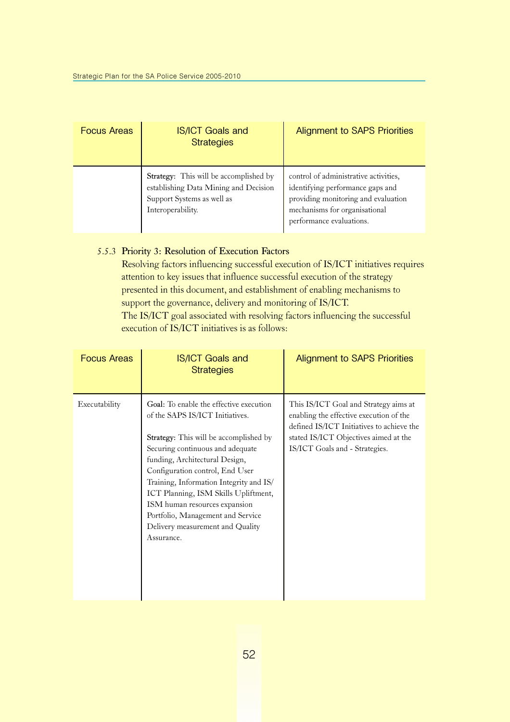| <b>Focus Areas</b> | <b>IS/ICT Goals and</b><br><b>Strategies</b>                                                                                              | <b>Alignment to SAPS Priorities</b>                                                                                                                                           |
|--------------------|-------------------------------------------------------------------------------------------------------------------------------------------|-------------------------------------------------------------------------------------------------------------------------------------------------------------------------------|
|                    | <b>Strategy:</b> This will be accomplished by<br>establishing Data Mining and Decision<br>Support Systems as well as<br>Interoperability. | control of administrative activities,<br>identifying performance gaps and<br>providing monitoring and evaluation<br>mechanisms for organisational<br>performance evaluations. |

#### 5.5.3 Priority 3: Resolution of Execution Factors

Resolving factors influencing successful execution of IS/ICT initiatives requires attention to key issues that influence successful execution of the strategy presented in this document, and establishment of enabling mechanisms to support the governance, delivery and monitoring of IS/ICT. The IS/ICT goal associated with resolving factors influencing the successful execution of IS/ICT initiatives is as follows:

| <b>Focus Areas</b> | <b>IS/ICT Goals and</b><br><b>Strategies</b>                                                                                                                                                                                                                                                                                                                                                                                                    | <b>Alignment to SAPS Priorities</b>                                                                                                                                                                      |
|--------------------|-------------------------------------------------------------------------------------------------------------------------------------------------------------------------------------------------------------------------------------------------------------------------------------------------------------------------------------------------------------------------------------------------------------------------------------------------|----------------------------------------------------------------------------------------------------------------------------------------------------------------------------------------------------------|
| Executability      | Goal: To enable the effective execution<br>of the SAPS IS/ICT Initiatives.<br><b>Strategy:</b> This will be accomplished by<br>Securing continuous and adequate<br>funding, Architectural Design,<br>Configuration control, End User<br>Training, Information Integrity and IS/<br>ICT Planning, ISM Skills Upliftment,<br>ISM human resources expansion<br>Portfolio, Management and Service<br>Delivery measurement and Quality<br>Assurance. | This IS/ICT Goal and Strategy aims at<br>enabling the effective execution of the<br>defined IS/ICT Initiatives to achieve the<br>stated IS/ICT Objectives aimed at the<br>IS/ICT Goals and - Strategies. |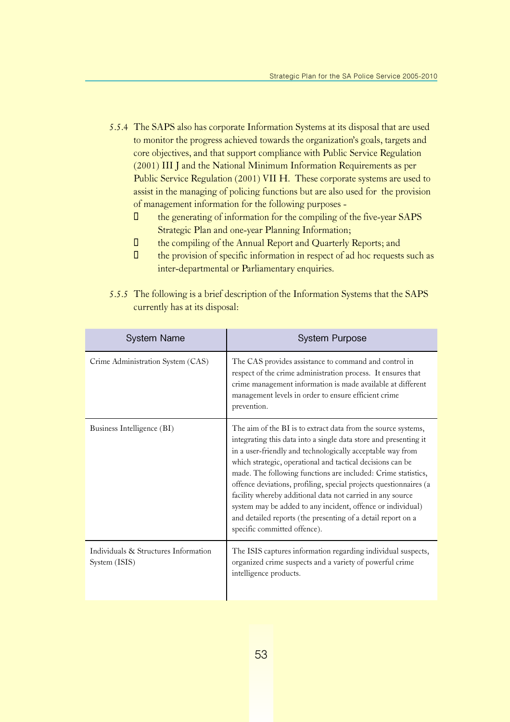- 5.5.4 The SAPS also has corporate Information Systems at its disposal that are used to monitor the progress achieved towards the organization's goals, targets and core objectives, and that support compliance with Public Service Regulation (2001) III J and the National Minimum Information Requirements as per Public Service Regulation (2001) VII H. These corporate systems are used to assist in the managing of policing functions but are also used for the provision of management information for the following purposes -
	- □ the generating of information for the compiling of the five-year SAPS Strategic Plan and one-year Planning Information;
	- **U** the compiling of the Annual Report and Quarterly Reports; and
	- $\Box$  the provision of specific information in respect of ad hoc requests such as inter-departmental or Parliamentary enquiries.
- 5.5.5 The following is a brief description of the Information Systems that the SAPS currently has at its disposal:

| <b>System Name</b>                                    | <b>System Purpose</b>                                                                                                                                                                                                                                                                                                                                                                                                                                                                                                                                                                                                            |
|-------------------------------------------------------|----------------------------------------------------------------------------------------------------------------------------------------------------------------------------------------------------------------------------------------------------------------------------------------------------------------------------------------------------------------------------------------------------------------------------------------------------------------------------------------------------------------------------------------------------------------------------------------------------------------------------------|
| Crime Administration System (CAS)                     | The CAS provides assistance to command and control in<br>respect of the crime administration process. It ensures that<br>crime management information is made available at different<br>management levels in order to ensure efficient crime<br>prevention.                                                                                                                                                                                                                                                                                                                                                                      |
| Business Intelligence (BI)                            | The aim of the BI is to extract data from the source systems,<br>integrating this data into a single data store and presenting it<br>in a user-friendly and technologically acceptable way from<br>which strategic, operational and tactical decisions can be<br>made. The following functions are included: Crime statistics,<br>offence deviations, profiling, special projects questionnaires (a<br>facility whereby additional data not carried in any source<br>system may be added to any incident, offence or individual)<br>and detailed reports (the presenting of a detail report on a<br>specific committed offence). |
| Individuals & Structures Information<br>System (ISIS) | The ISIS captures information regarding individual suspects,<br>organized crime suspects and a variety of powerful crime<br>intelligence products.                                                                                                                                                                                                                                                                                                                                                                                                                                                                               |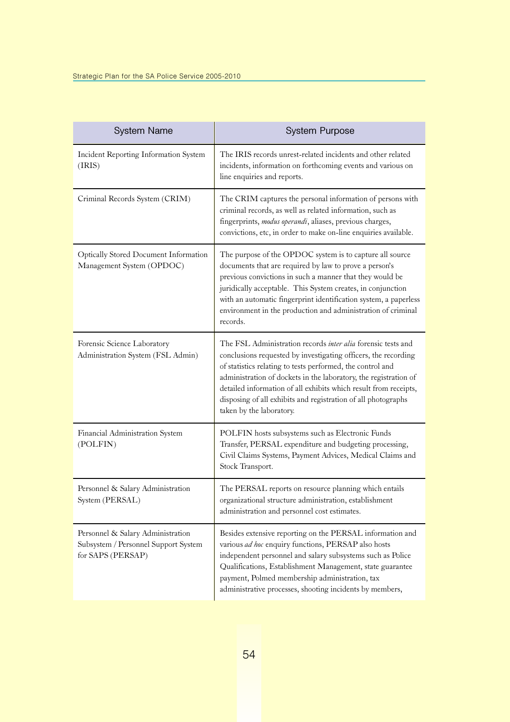| <b>System Name</b>                                                                             | <b>System Purpose</b>                                                                                                                                                                                                                                                                                                                                                                                                             |
|------------------------------------------------------------------------------------------------|-----------------------------------------------------------------------------------------------------------------------------------------------------------------------------------------------------------------------------------------------------------------------------------------------------------------------------------------------------------------------------------------------------------------------------------|
| Incident Reporting Information System<br>(IRIS)                                                | The IRIS records unrest-related incidents and other related<br>incidents, information on forthcoming events and various on<br>line enquiries and reports.                                                                                                                                                                                                                                                                         |
| Criminal Records System (CRIM)                                                                 | The CRIM captures the personal information of persons with<br>criminal records, as well as related information, such as<br>fingerprints, modus operandi, aliases, previous charges,<br>convictions, etc, in order to make on-line enquiries available.                                                                                                                                                                            |
| Optically Stored Document Information<br>Management System (OPDOC)                             | The purpose of the OPDOC system is to capture all source<br>documents that are required by law to prove a person's<br>previous convictions in such a manner that they would be<br>juridically acceptable. This System creates, in conjunction<br>with an automatic fingerprint identification system, a paperless<br>environment in the production and administration of criminal<br>records.                                     |
| Forensic Science Laboratory<br>Administration System (FSL Admin)                               | The FSL Administration records inter alia forensic tests and<br>conclusions requested by investigating officers, the recording<br>of statistics relating to tests performed, the control and<br>administration of dockets in the laboratory, the registration of<br>detailed information of all exhibits which result from receipts,<br>disposing of all exhibits and registration of all photographs<br>taken by the laboratory. |
| Financial Administration System<br>(POLFIN)                                                    | POLFIN hosts subsystems such as Electronic Funds<br>Transfer, PERSAL expenditure and budgeting processing,<br>Civil Claims Systems, Payment Advices, Medical Claims and<br>Stock Transport.                                                                                                                                                                                                                                       |
| Personnel & Salary Administration<br>System (PERSAL)                                           | The PERSAL reports on resource planning which entails<br>organizational structure administration, establishment<br>administration and personnel cost estimates.                                                                                                                                                                                                                                                                   |
| Personnel & Salary Administration<br>Subsystem / Personnel Support System<br>for SAPS (PERSAP) | Besides extensive reporting on the PERSAL information and<br>various ad hoc enquiry functions, PERSAP also hosts<br>independent personnel and salary subsystems such as Police<br>Qualifications, Establishment Management, state guarantee<br>payment, Polmed membership administration, tax<br>administrative processes, shooting incidents by members,                                                                         |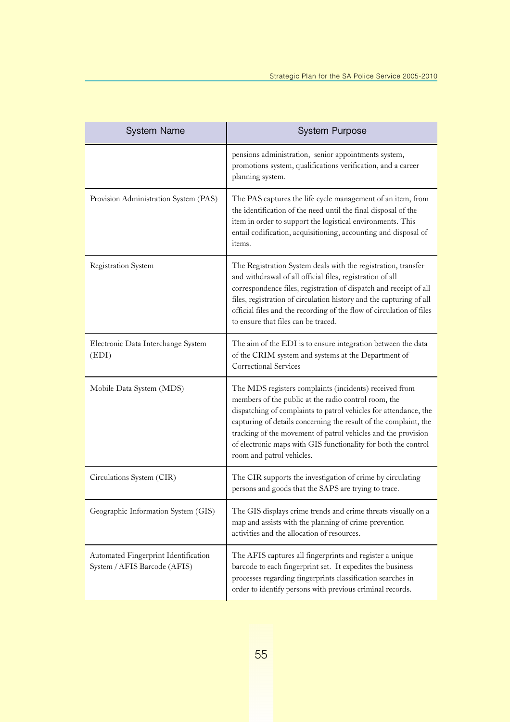| <b>System Name</b>                                                   | <b>System Purpose</b>                                                                                                                                                                                                                                                                                                                                                                                                  |
|----------------------------------------------------------------------|------------------------------------------------------------------------------------------------------------------------------------------------------------------------------------------------------------------------------------------------------------------------------------------------------------------------------------------------------------------------------------------------------------------------|
|                                                                      | pensions administration, senior appointments system,<br>promotions system, qualifications verification, and a career<br>planning system.                                                                                                                                                                                                                                                                               |
| Provision Administration System (PAS)                                | The PAS captures the life cycle management of an item, from<br>the identification of the need until the final disposal of the<br>item in order to support the logistical environments. This<br>entail codification, acquisitioning, accounting and disposal of<br>items.                                                                                                                                               |
| Registration System                                                  | The Registration System deals with the registration, transfer<br>and withdrawal of all official files, registration of all<br>correspondence files, registration of dispatch and receipt of all<br>files, registration of circulation history and the capturing of all<br>official files and the recording of the flow of circulation of files<br>to ensure that files can be traced.                                  |
| Electronic Data Interchange System<br>(EDI)                          | The aim of the EDI is to ensure integration between the data<br>of the CRIM system and systems at the Department of<br>Correctional Services                                                                                                                                                                                                                                                                           |
| Mobile Data System (MDS)                                             | The MDS registers complaints (incidents) received from<br>members of the public at the radio control room, the<br>dispatching of complaints to patrol vehicles for attendance, the<br>capturing of details concerning the result of the complaint, the<br>tracking of the movement of patrol vehicles and the provision<br>of electronic maps with GIS functionality for both the control<br>room and patrol vehicles. |
| Circulations System (CIR)                                            | The CIR supports the investigation of crime by circulating<br>persons and goods that the SAPS are trying to trace.                                                                                                                                                                                                                                                                                                     |
| Geographic Information System (GIS)                                  | The GIS displays crime trends and crime threats visually on a<br>map and assists with the planning of crime prevention<br>activities and the allocation of resources.                                                                                                                                                                                                                                                  |
| Automated Fingerprint Identification<br>System / AFIS Barcode (AFIS) | The AFIS captures all fingerprints and register a unique<br>barcode to each fingerprint set. It expedites the business<br>processes regarding fingerprints classification searches in<br>order to identify persons with previous criminal records.                                                                                                                                                                     |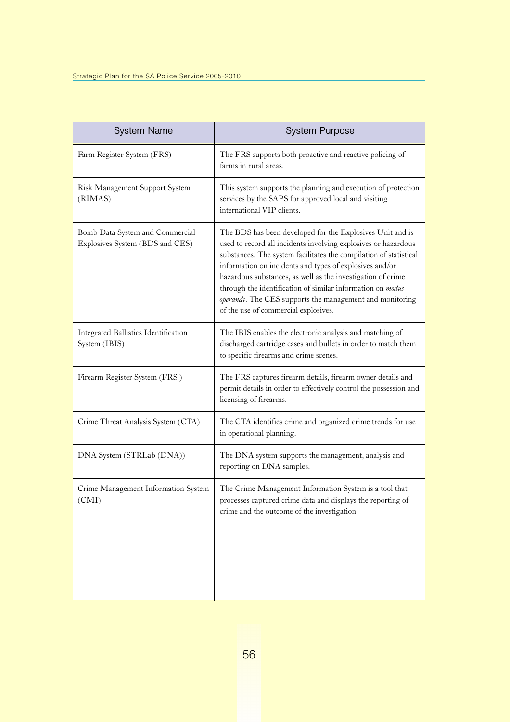| <b>System Name</b>                                                 | <b>System Purpose</b>                                                                                                                                                                                                                                                                                                                                                                                                                                                                        |
|--------------------------------------------------------------------|----------------------------------------------------------------------------------------------------------------------------------------------------------------------------------------------------------------------------------------------------------------------------------------------------------------------------------------------------------------------------------------------------------------------------------------------------------------------------------------------|
| Farm Register System (FRS)                                         | The FRS supports both proactive and reactive policing of<br>farms in rural areas.                                                                                                                                                                                                                                                                                                                                                                                                            |
| Risk Management Support System<br>(RIMAS)                          | This system supports the planning and execution of protection<br>services by the SAPS for approved local and visiting<br>international VIP clients.                                                                                                                                                                                                                                                                                                                                          |
| Bomb Data System and Commercial<br>Explosives System (BDS and CES) | The BDS has been developed for the Explosives Unit and is<br>used to record all incidents involving explosives or hazardous<br>substances. The system facilitates the compilation of statistical<br>information on incidents and types of explosives and/or<br>hazardous substances, as well as the investigation of crime<br>through the identification of similar information on modus<br>operandi. The CES supports the management and monitoring<br>of the use of commercial explosives. |
| Integrated Ballistics Identification<br>System (IBIS)              | The IBIS enables the electronic analysis and matching of<br>discharged cartridge cases and bullets in order to match them<br>to specific firearms and crime scenes.                                                                                                                                                                                                                                                                                                                          |
| Firearm Register System (FRS)                                      | The FRS captures firearm details, firearm owner details and<br>permit details in order to effectively control the possession and<br>licensing of firearms.                                                                                                                                                                                                                                                                                                                                   |
| Crime Threat Analysis System (CTA)                                 | The CTA identifies crime and organized crime trends for use<br>in operational planning.                                                                                                                                                                                                                                                                                                                                                                                                      |
| DNA System (STRLab (DNA))                                          | The DNA system supports the management, analysis and<br>reporting on DNA samples.                                                                                                                                                                                                                                                                                                                                                                                                            |
| Crime Management Information System<br>(CMI)                       | The Crime Management Information System is a tool that<br>processes captured crime data and displays the reporting of<br>crime and the outcome of the investigation.                                                                                                                                                                                                                                                                                                                         |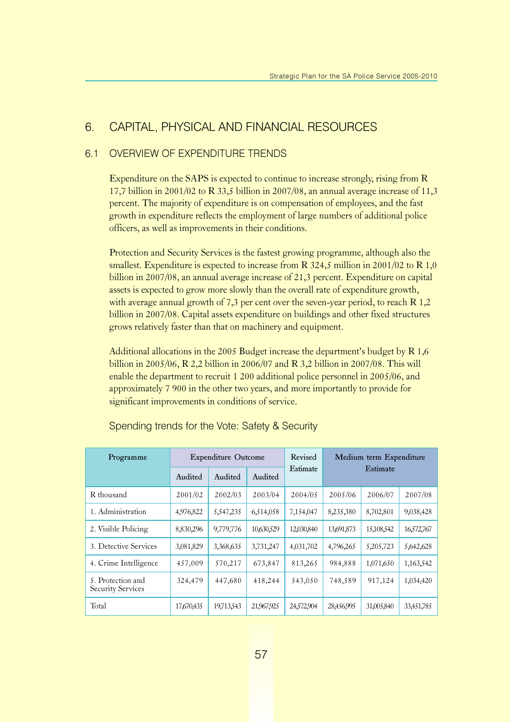### 6. CAPITAL, PHYSICAL AND FINANCIAL RESOURCES

### 6.1 OVERVIEW OF EXPENDITURE TRENDS

Expenditure on the SAPS is expected to continue to increase strongly, rising from R 17,7 billion in 2001/02 to R 33,5 billion in 2007/08, an annual average increase of 11,3 percent. The majority of expenditure is on compensation of employees, and the fast growth in expenditure reflects the employment of large numbers of additional police officers, as well as improvements in their conditions.

Protection and Security Services is the fastest growing programme, although also the smallest. Expenditure is expected to increase from R  $324.5$  million in 2001/02 to R 1,0 billion in 2007/08, an annual average increase of 21,3 percent. Expenditure on capital assets is expected to grow more slowly than the overall rate of expenditure growth, with average annual growth of 7,3 per cent over the seven-year period, to reach R 1,2 billion in 2007/08. Capital assets expenditure on buildings and other fixed structures grows relatively faster than that on machinery and equipment.

Additional allocations in the 2005 Budget increase the department's budget by R 1,6 billion in 2005/06, R 2,2 billion in 2006/07 and R 3,2 billion in 2007/08. This will enable the department to recruit 1 200 additional police personnel in 2005/06, and approximately 7 900 in the other two years, and more importantly to provide for significant improvements in conditions of service.

| Programme                                     | <b>Expenditure Outcome</b> |            |            | Revised    | Medium term Expenditure |            |            |  |
|-----------------------------------------------|----------------------------|------------|------------|------------|-------------------------|------------|------------|--|
|                                               | Audited                    | Audited    | Audited    | Estimate   | Estimate                |            |            |  |
| R thousand                                    | 2001/02                    | 2002/03    | 2003/04    | 2004/05    | 2005/06                 | 2006/07    | 2007/08    |  |
| 1. Administration                             | 4,976,822                  | 5,547,235  | 6,514,058  | 7,154,047  | 8,235,380               | 8,702,801  | 9,038,428  |  |
| 2. Visible Policing                           | 8,830,296                  | 9,779,776  | 10,630,529 | 12,030,840 | 13,691,873              | 15,108,542 | 16,572,767 |  |
| 3. Detective Services                         | 3,081,829                  | 3,368,635  | 3,731,247  | 4,031,702  | 4,796,265               | 5,205,723  | 5,642,628  |  |
| 4. Crime Intelligence                         | 457,009                    | 570,217    | 673,847    | 813,265    | 984,888                 | 1,071,650  | 1,163,542  |  |
| 5. Protection and<br><b>Security Services</b> | 324,479                    | 447,680    | 418,244    | 543,050    | 748,589                 | 917,124    | 1,034,420  |  |
| Total                                         | 17,670,435                 | 19,713,543 | 21,967,925 | 24,572,904 | 28,456,995              | 31,005,840 | 33,451,785 |  |

Spending trends for the Vote: Safety & Security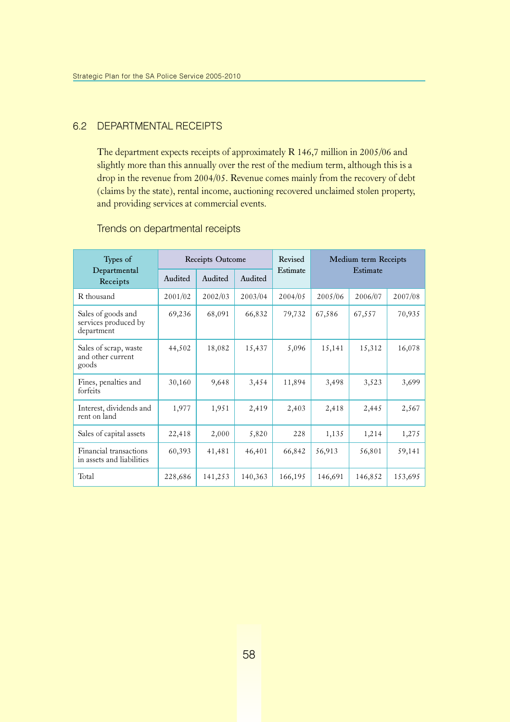#### 6.2 DEPARTMENTAL RECEIPTS

The department expects receipts of approximately R 146,7 million in 2005/06 and slightly more than this annually over the rest of the medium term, although this is a drop in the revenue from 2004/05. Revenue comes mainly from the recovery of debt (claims by the state), rental income, auctioning recovered unclaimed stolen property, and providing services at commercial events.

| Types of                                                 | Receipts Outcome |         |         | Revised  | Medium term Receipts |         |         |
|----------------------------------------------------------|------------------|---------|---------|----------|----------------------|---------|---------|
| Departmental<br>Receipts                                 | Audited          | Audited | Audited | Estimate | Estimate             |         |         |
| R thousand                                               | 2001/02          | 2002/03 | 2003/04 | 2004/05  | 2005/06              | 2006/07 | 2007/08 |
| Sales of goods and<br>services produced by<br>department | 69,236           | 68,091  | 66,832  | 79,732   | 67,586               | 67,557  | 70,935  |
| Sales of scrap, waste<br>and other current<br>goods      | 44,502           | 18,082  | 15,437  | 5,096    | 15,141               | 15,312  | 16,078  |
| Fines, penalties and<br>forfeits                         | 30,160           | 9,648   | 3,454   | 11,894   | 3,498                | 3,523   | 3,699   |
| Interest, dividends and<br>rent on land                  | 1,977            | 1,951   | 2,419   | 2,403    | 2,418                | 2,445   | 2,567   |
| Sales of capital assets                                  | 22,418           | 2,000   | 5,820   | 228      | 1,135                | 1,214   | 1,275   |
| Financial transactions<br>in assets and liabilities      | 60,393           | 41,481  | 46,401  | 66,842   | 56,913               | 56,801  | 59,141  |
| Total                                                    | 228,686          | 141,253 | 140,363 | 166,195  | 146,691              | 146,852 | 153,695 |

#### Trends on departmental receipts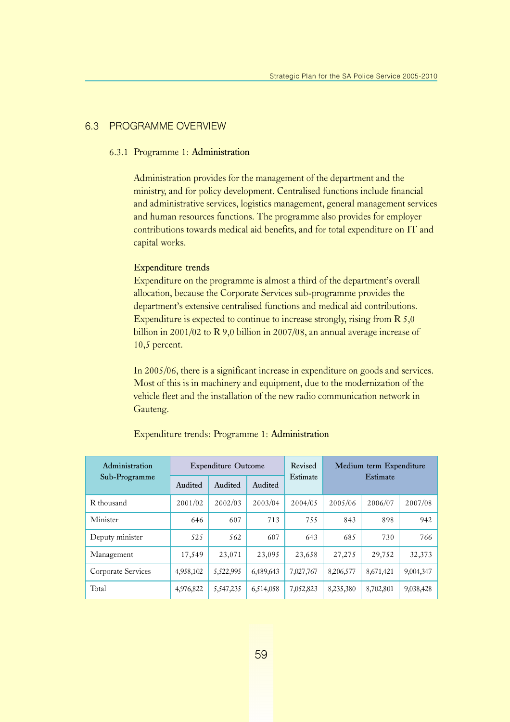#### 6.3 PROGRAMME OVERVIEW

#### 6.3.1 Programme 1: Administration

Administration provides for the management of the department and the ministry, and for policy development. Centralised functions include financial and administrative services, logistics management, general management services and human resources functions. The programme also provides for employer contributions towards medical aid benefits, and for total expenditure on IT and capital works.

#### Expenditure trends

Expenditure on the programme is almost a third of the department's overall allocation, because the Corporate Services sub-programme provides the department's extensive centralised functions and medical aid contributions. Expenditure is expected to continue to increase strongly, rising from R 5,0 billion in 2001/02 to R 9,0 billion in 2007/08, an annual average increase of 10,5 percent.

In 2005/06, there is a significant increase in expenditure on goods and services. Most of this is in machinery and equipment, due to the modernization of the vehicle fleet and the installation of the new radio communication network in Gauteng.

| Administration     |           | <b>Expenditure Outcome</b> |           | Revised<br>Estimate | Medium term Expenditure<br>Estimate |           |           |
|--------------------|-----------|----------------------------|-----------|---------------------|-------------------------------------|-----------|-----------|
| Sub-Programme      | Audited   | Audited                    | Audited   |                     |                                     |           |           |
| R thousand         | 2001/02   | 2002/03                    | 2003/04   | 2004/05             | 2005/06                             | 2006/07   | 2007/08   |
| Minister           | 646       | 607                        | 713       | 755                 | 843                                 | 898       | 942       |
| Deputy minister    | 525       | 562                        | 607       | 643                 | 685                                 | 730       | 766       |
| Management         | 17,549    | 23,071                     | 23,095    | 23,658              | 27,275                              | 29,752    | 32,373    |
| Corporate Services | 4,958,102 | 5,522,995                  | 6,489,643 | 7,027,767           | 8,206,577                           | 8,671,421 | 9,004,347 |
| Total              | 4,976,822 | 5,547,235                  | 6,514,058 | 7,052,823           | 8,235,380                           | 8,702,801 | 9,038,428 |

#### Expenditure trends: Programme 1: Administration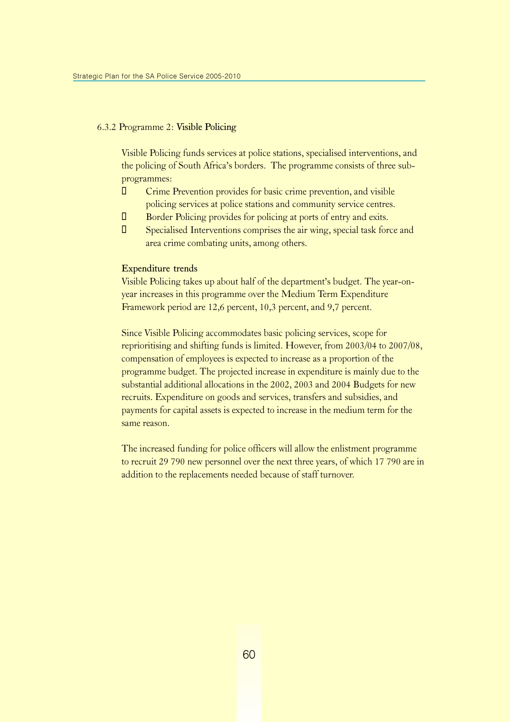#### 6.3.2 Programme 2: Visible Policing

Visible Policing funds services at police stations, specialised interventions, and the policing of South Africa's borders. The programme consists of three subprogrammes:

- $\Box$  Crime Prevention provides for basic crime prevention, and visible policing services at police stations and community service centres.
- $\Box$  Border Policing provides for policing at ports of entry and exits.
- $\Box$  Specialised Interventions comprises the air wing, special task force and area crime combating units, among others.

#### Expenditure trends

Visible Policing takes up about half of the department's budget. The year-onyear increases in this programme over the Medium Term Expenditure Framework period are 12,6 percent, 10,3 percent, and 9,7 percent.

Since Visible Policing accommodates basic policing services, scope for reprioritising and shifting funds is limited. However, from 2003/04 to 2007/08, compensation of employees is expected to increase as a proportion of the programme budget. The projected increase in expenditure is mainly due to the substantial additional allocations in the 2002, 2003 and 2004 Budgets for new recruits. Expenditure on goods and services, transfers and subsidies, and payments for capital assets is expected to increase in the medium term for the same reason.

The increased funding for police officers will allow the enlistment programme to recruit 29 790 new personnel over the next three years, of which 17 790 are in addition to the replacements needed because of staff turnover.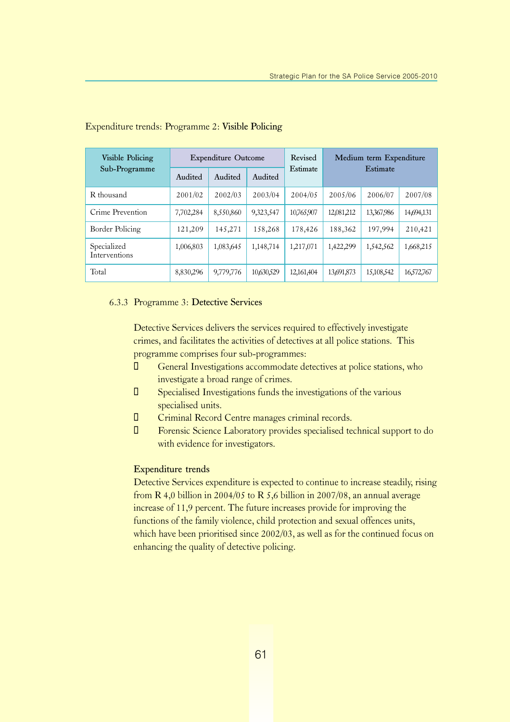| Visible Policing<br>Sub-Programme |           | <b>Expenditure Outcome</b> |            | Revised    | Medium term Expenditure |            |            |
|-----------------------------------|-----------|----------------------------|------------|------------|-------------------------|------------|------------|
|                                   | Audited   | Audited                    | Audited    | Estimate   |                         | Estimate   |            |
| R thousand                        | 2001/02   | 2002/03                    | 2003/04    | 2004/05    | 2005/06                 | 2006/07    | 2007/08    |
| Crime Prevention                  | 7,702,284 | 8,550,860                  | 9,323,547  | 10,765,907 | 12,081,212              | 13,367,986 | 14,694,131 |
| Border Policing                   | 121,209   | 145,271                    | 158,268    | 178,426    | 188,362                 | 197,994    | 210,421    |
| Specialized<br>Interventions      | 1,006,803 | 1,083,645                  | 1,148,714  | 1,217,071  | 1,422,299               | 1,542,562  | 1,668,215  |
| Total                             | 8,830,296 | 9,779,776                  | 10,630,529 | 12,161,404 | 13,691,873              | 15,108,542 | 16,572,767 |

#### Expenditure trends: Programme 2: Visible Policing

#### 6.3.3 Programme 3: Detective Services

Detective Services delivers the services required to effectively investigate crimes, and facilitates the activities of detectives at all police stations. This programme comprises four sub-programmes:

- $\Box$  General Investigations accommodate detectives at police stations, who investigate a broad range of crimes.
- $\Box$  Specialised Investigations funds the investigations of the various specialised units.
- $\Box$  Criminal Record Centre manages criminal records.
- ¡ Forensic Science Laboratory provides specialised technical support to do with evidence for investigators.

#### Expenditure trends

Detective Services expenditure is expected to continue to increase steadily, rising from R 4,0 billion in 2004/05 to R 5,6 billion in 2007/08, an annual average increase of 11,9 percent. The future increases provide for improving the functions of the family violence, child protection and sexual offences units, which have been prioritised since 2002/03, as well as for the continued focus on enhancing the quality of detective policing.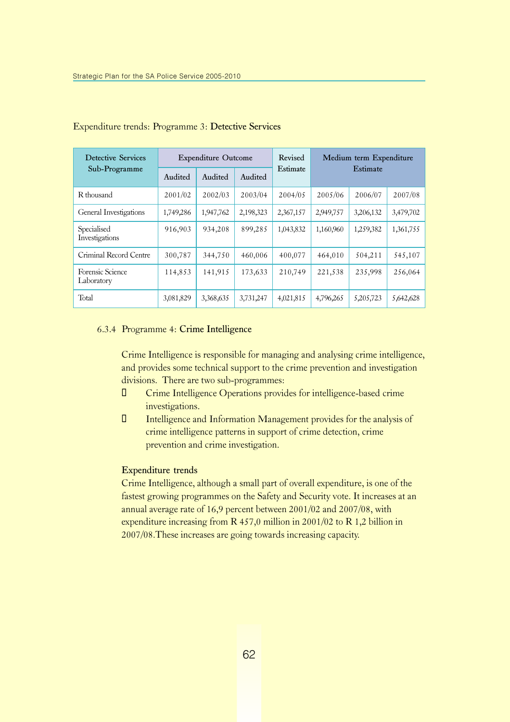| <b>Detective Services</b>      |           | <b>Expenditure Outcome</b> |           | Revised   | Medium term Expenditure |           |           |
|--------------------------------|-----------|----------------------------|-----------|-----------|-------------------------|-----------|-----------|
| Sub-Programme                  | Audited   | Audited                    | Audited   | Estimate  |                         | Estimate  |           |
| R thousand                     | 2001/02   | 2002/03                    | 2003/04   | 2004/05   | 2005/06                 | 2006/07   | 2007/08   |
| General Investigations         | 1,749,286 | 1,947,762                  | 2,198,323 | 2,367,157 | 2,949,757               | 3,206,132 | 3,479,702 |
| Specialised<br>Investigations  | 916,903   | 934,208                    | 899,285   | 1,043,832 | 1,160,960               | 1,259,382 | 1,361,755 |
| Criminal Record Centre         | 300,787   | 344,750                    | 460,006   | 400,077   | 464,010                 | 504,211   | 545,107   |
| Forensic Science<br>Laboratory | 114,853   | 141,915                    | 173,633   | 210,749   | 221,538                 | 235,998   | 256,064   |
| Total                          | 3,081,829 | 3,368,635                  | 3,731,247 | 4,021,815 | 4,796,265               | 5,205,723 | 5,642,628 |

#### Expenditure trends: Programme 3: Detective Services

#### 6.3.4 Programme 4: Crime Intelligence

Crime Intelligence is responsible for managing and analysing crime intelligence, and provides some technical support to the crime prevention and investigation divisions. There are two sub-programmes:

- ¡ Crime Intelligence Operations provides for intelligence-based crime investigations.
- $\Box$  Intelligence and Information Management provides for the analysis of crime intelligence patterns in support of crime detection, crime prevention and crime investigation.

#### Expenditure trends

Crime Intelligence, although a small part of overall expenditure, is one of the fastest growing programmes on the Safety and Security vote. It increases at an annual average rate of 16,9 percent between 2001/02 and 2007/08, with expenditure increasing from R 457,0 million in 2001/02 to R 1,2 billion in 2007/08.These increases are going towards increasing capacity.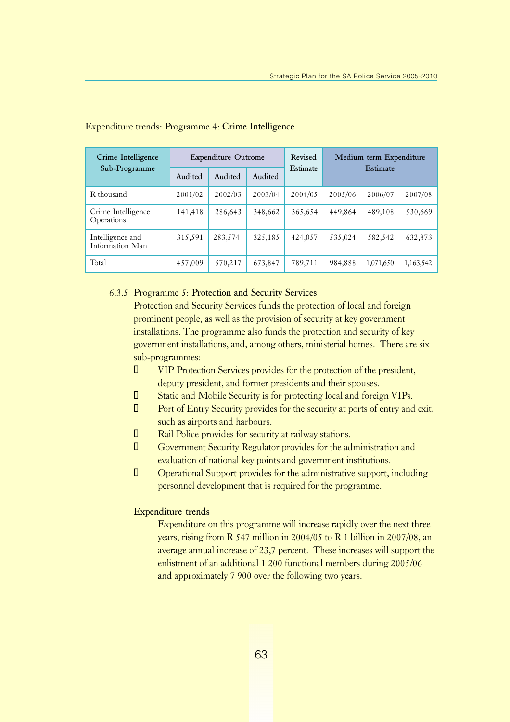| Crime Intelligence<br>Sub-Programme | <b>Expenditure Outcome</b> |         |         | Revised  | Medium term Expenditure |           |           |
|-------------------------------------|----------------------------|---------|---------|----------|-------------------------|-----------|-----------|
|                                     | Audited                    | Audited | Audited | Estimate | Estimate                |           |           |
| R thousand                          | 2001/02                    | 2002/03 | 2003/04 | 2004/05  | 2005/06                 | 2006/07   | 2007/08   |
| Crime Intelligence<br>Operations    | 141,418                    | 286,643 | 348,662 | 365,654  | 449,864                 | 489,108   | 530,669   |
| Intelligence and<br>Information Man | 315,591                    | 283,574 | 325,185 | 424,057  | 535,024                 | 582,542   | 632,873   |
| Total                               | 457,009                    | 570,217 | 673,847 | 789,711  | 984,888                 | 1,071,650 | 1,163,542 |

#### Expenditure trends: Programme 4: Crime Intelligence

#### 6.3.5 Programme 5: Protection and Security Services

Protection and Security Services funds the protection of local and foreign prominent people, as well as the provision of security at key government installations. The programme also funds the protection and security of key government installations, and, among others, ministerial homes. There are six sub-programmes:

- ¡ VIP Protection Services provides for the protection of the president, deputy president, and former presidents and their spouses.
- **I** Static and Mobile Security is for protecting local and foreign VIPs.
- $\Box$  Port of Entry Security provides for the security at ports of entry and exit, such as airports and harbours.
- $\Box$  Rail Police provides for security at railway stations.
- **I** Government Security Regulator provides for the administration and evaluation of national key points and government institutions.
- ¡ Operational Support provides for the administrative support, including personnel development that is required for the programme.

#### Expenditure trends

Expenditure on this programme will increase rapidly over the next three years, rising from R 547 million in 2004/05 to R 1 billion in 2007/08, an average annual increase of 23,7 percent. These increases will support the enlistment of an additional 1 200 functional members during 2005/06 and approximately 7 900 over the following two years.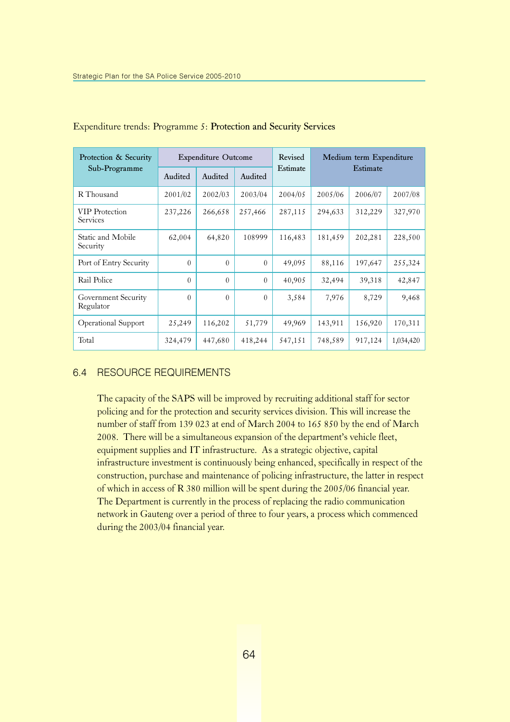| Protection & Security<br>Sub-Programme | <b>Expenditure Outcome</b> |          |          | Revised  | Medium term Expenditure |         |           |
|----------------------------------------|----------------------------|----------|----------|----------|-------------------------|---------|-----------|
|                                        | Audited                    | Audited  | Audited  | Estimate | Estimate                |         |           |
| R Thousand                             | 2001/02                    | 2002/03  | 2003/04  | 2004/05  | 2005/06                 | 2006/07 | 2007/08   |
| <b>VIP</b> Protection<br>Services      | 237,226                    | 266,658  | 257,466  | 287,115  | 294,633                 | 312,229 | 327,970   |
| Static and Mobile<br>Security          | 62,004                     | 64,820   | 108999   | 116,483  | 181,459                 | 202,281 | 228,500   |
| Port of Entry Security                 | $\theta$                   | $\Omega$ | $\Omega$ | 49,095   | 88,116                  | 197,647 | 255,324   |
| Rail Police                            | $\theta$                   | $\Omega$ | $\theta$ | 40,905   | 32,494                  | 39,318  | 42,847    |
| Government Security<br>Regulator       | $\Omega$                   | $\Omega$ | $\Omega$ | 3,584    | 7,976                   | 8,729   | 9,468     |
| <b>Operational Support</b>             | 25,249                     | 116,202  | 51,779   | 49,969   | 143,911                 | 156,920 | 170,311   |
| Total                                  | 324,479                    | 447,680  | 418,244  | 547,151  | 748,589                 | 917,124 | 1,034,420 |

#### Expenditure trends: Programme 5: Protection and Security Services

#### 6.4 RESOURCE REQUIREMENTS

The capacity of the SAPS will be improved by recruiting additional staff for sector policing and for the protection and security services division. This will increase the number of staff from 139 023 at end of March 2004 to 165 850 by the end of March 2008. There will be a simultaneous expansion of the department's vehicle fleet, equipment supplies and IT infrastructure. As a strategic objective, capital infrastructure investment is continuously being enhanced, specifically in respect of the construction, purchase and maintenance of policing infrastructure, the latter in respect of which in access of R 380 million will be spent during the 2005/06 financial year. The Department is currently in the process of replacing the radio communication network in Gauteng over a period of three to four years, a process which commenced during the 2003/04 financial year.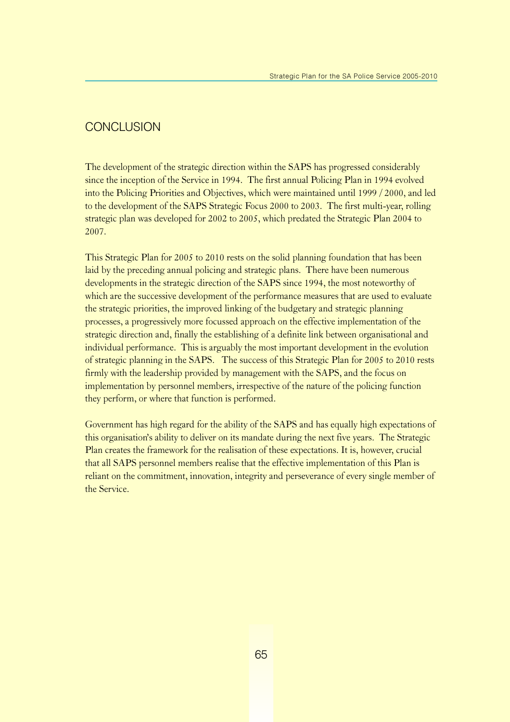### **CONCLUSION**

The development of the strategic direction within the SAPS has progressed considerably since the inception of the Service in 1994. The first annual Policing Plan in 1994 evolved into the Policing Priorities and Objectives, which were maintained until 1999 / 2000, and led to the development of the SAPS Strategic Focus 2000 to 2003. The first multi-year, rolling strategic plan was developed for 2002 to 2005, which predated the Strategic Plan 2004 to 2007.

This Strategic Plan for 2005 to 2010 rests on the solid planning foundation that has been laid by the preceding annual policing and strategic plans. There have been numerous developments in the strategic direction of the SAPS since 1994, the most noteworthy of which are the successive development of the performance measures that are used to evaluate the strategic priorities, the improved linking of the budgetary and strategic planning processes, a progressively more focussed approach on the effective implementation of the strategic direction and, finally the establishing of a definite link between organisational and individual performance. This is arguably the most important development in the evolution of strategic planning in the SAPS. The success of this Strategic Plan for 2005 to 2010 rests firmly with the leadership provided by management with the SAPS, and the focus on implementation by personnel members, irrespective of the nature of the policing function they perform, or where that function is performed.

Government has high regard for the ability of the SAPS and has equally high expectations of this organisation's ability to deliver on its mandate during the next five years. The Strategic Plan creates the framework for the realisation of these expectations. It is, however, crucial that all SAPS personnel members realise that the effective implementation of this Plan is reliant on the commitment, innovation, integrity and perseverance of every single member of the Service.